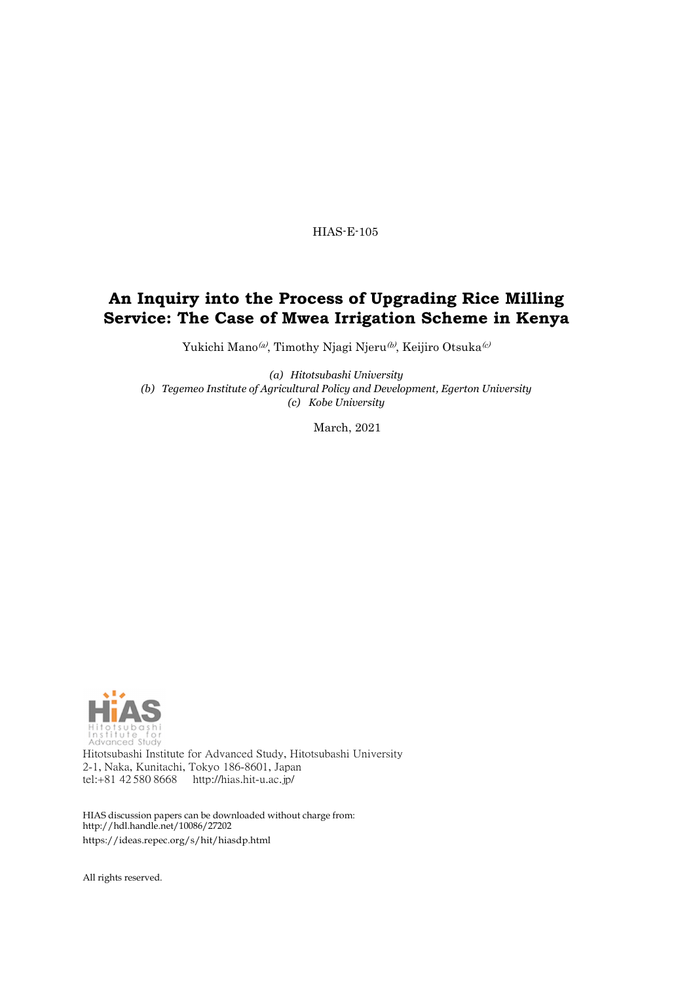HIAS-E-105

# **An Inquiry into the Process of Upgrading Rice Milling Service: The Case of Mwea Irrigation Scheme in Kenya**

Yukichi Mano<br/>@), Timothy Njagi Njeru $^{(b)}$  Keijiro Otsuka<br/>  $^{(c)}$ 

*(a) Hitotsubashi University (b) Tegemeo Institute of Agricultural Policy and Development, Egerton University (c) Kobe University*

March, 2021



Hitotsubashi Institute for Advanced Study, Hitotsubashi University 2-1, Naka, Kunitachi, Tokyo 186-8601, Japan tel:+81 42 580 8668 <http://hias.hit-u.ac.jp/>

HIAS discussion papers can be downloaded without charge from: <http://hdl.handle.net/10086/27202> https://ideas.repec.org/s/hit/hiasdp.html

All rights reserved.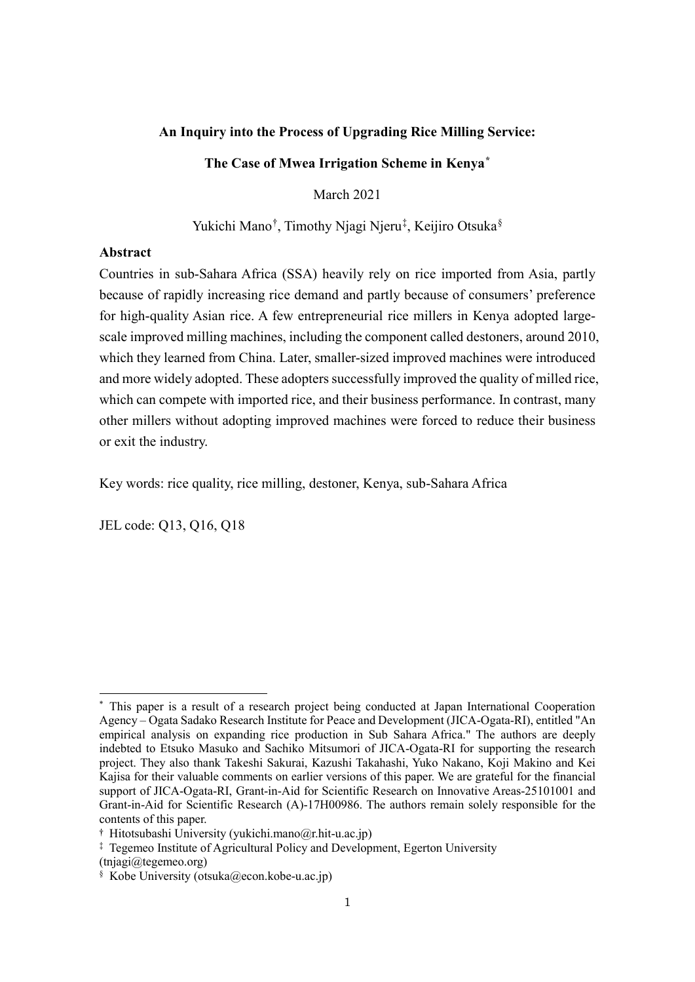#### **An Inquiry into the Process of Upgrading Rice Milling Service:**

**The Case of Mwea Irrigation Scheme in Kenya[\\*](#page-1-0)**

March 2021

Yukichi Mano<sup>[†](#page-1-1)</sup>, Timothy Njagi Njeru<sup>[‡](#page-1-2)</sup>, Keijiro Otsuka<sup>[§](#page-1-3)</sup>

# **Abstract**

Countries in sub-Sahara Africa (SSA) heavily rely on rice imported from Asia, partly because of rapidly increasing rice demand and partly because of consumers' preference for high-quality Asian rice. A few entrepreneurial rice millers in Kenya adopted largescale improved milling machines, including the component called destoners, around 2010, which they learned from China. Later, smaller-sized improved machines were introduced and more widely adopted. These adopters successfully improved the quality of milled rice, which can compete with imported rice, and their business performance. In contrast, many other millers without adopting improved machines were forced to reduce their business or exit the industry.

Key words: rice quality, rice milling, destoner, Kenya, sub-Sahara Africa

JEL code: Q13, Q16, Q18

<span id="page-1-0"></span><sup>\*</sup> This paper is a result of a research project being conducted at Japan International Cooperation Agency – Ogata Sadako Research Institute for Peace and Development (JICA-Ogata-RI), entitled "An empirical analysis on expanding rice production in Sub Sahara Africa." The authors are deeply indebted to Etsuko Masuko and Sachiko Mitsumori of JICA-Ogata-RI for supporting the research project. They also thank Takeshi Sakurai, Kazushi Takahashi, Yuko Nakano, Koji Makino and Kei Kajisa for their valuable comments on earlier versions of this paper. We are grateful for the financial support of JICA-Ogata-RI, Grant-in-Aid for Scientific Research on Innovative Areas-25101001 and Grant-in-Aid for Scientific Research (A)-17H00986. The authors remain solely responsible for the contents of this paper.

<span id="page-1-1"></span><sup>†</sup> Hitotsubashi University (yukichi.mano@r.hit-u.ac.jp)

<span id="page-1-2"></span><sup>‡</sup> Tegemeo Institute of Agricultural Policy and Development, Egerton University (tnjagi@tegemeo.org)

<span id="page-1-3"></span> $\frac{\hat{\mathcal{S}}}{\hat{\mathcal{S}}}$  Kobe University (otsuka@econ.kobe-u.ac.jp)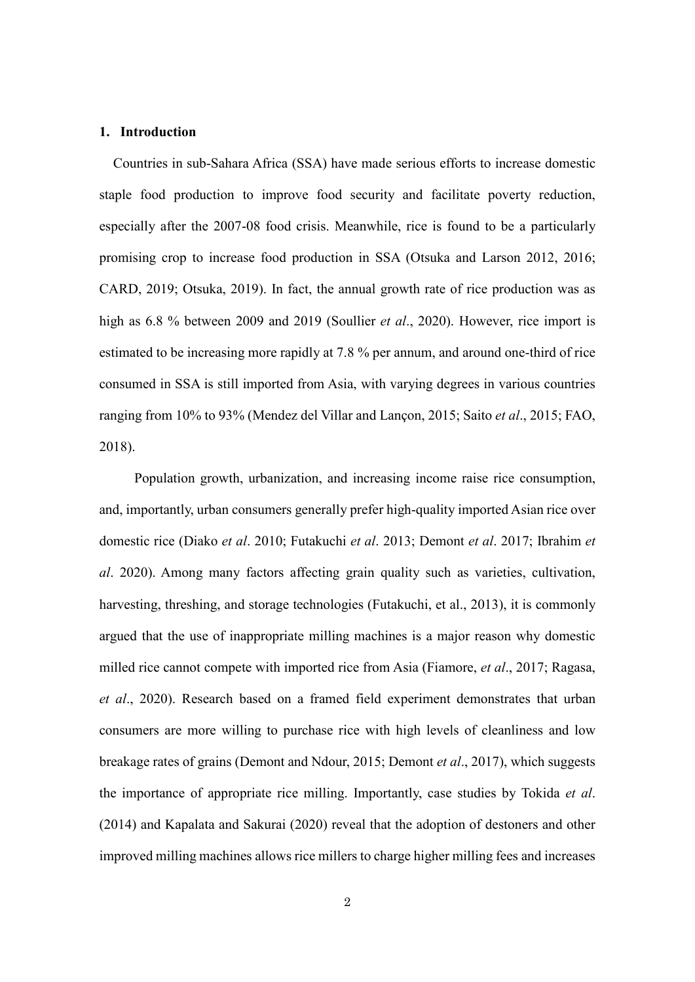#### **1. Introduction**

Countries in sub-Sahara Africa (SSA) have made serious efforts to increase domestic staple food production to improve food security and facilitate poverty reduction, especially after the 2007-08 food crisis. Meanwhile, rice is found to be a particularly promising crop to increase food production in SSA (Otsuka and Larson 2012, 2016; CARD, 2019; Otsuka, 2019). In fact, the annual growth rate of rice production was as high as 6.8 % between 2009 and 2019 (Soullier *et al*., 2020). However, rice import is estimated to be increasing more rapidly at 7.8 % per annum, and around one-third of rice consumed in SSA is still imported from Asia, with varying degrees in various countries ranging from 10% to 93% (Mendez del Villar and Lançon, 2015; Saito *et al*., 2015; FAO, 2018).

Population growth, urbanization, and increasing income raise rice consumption, and, importantly, urban consumers generally prefer high-quality imported Asian rice over domestic rice (Diako *et al*. 2010; Futakuchi *et al*. 2013; Demont *et al*. 2017; Ibrahim *et al*. 2020). Among many factors affecting grain quality such as varieties, cultivation, harvesting, threshing, and storage technologies (Futakuchi, et al., 2013), it is commonly argued that the use of inappropriate milling machines is a major reason why domestic milled rice cannot compete with imported rice from Asia (Fiamore, *et al*., 2017; Ragasa, *et al*., 2020). Research based on a framed field experiment demonstrates that urban consumers are more willing to purchase rice with high levels of cleanliness and low breakage rates of grains (Demont and Ndour, 2015; Demont *et al*., 2017), which suggests the importance of appropriate rice milling. Importantly, case studies by Tokida *et al*. (2014) and Kapalata and Sakurai (2020) reveal that the adoption of destoners and other improved milling machines allows rice millers to charge higher milling fees and increases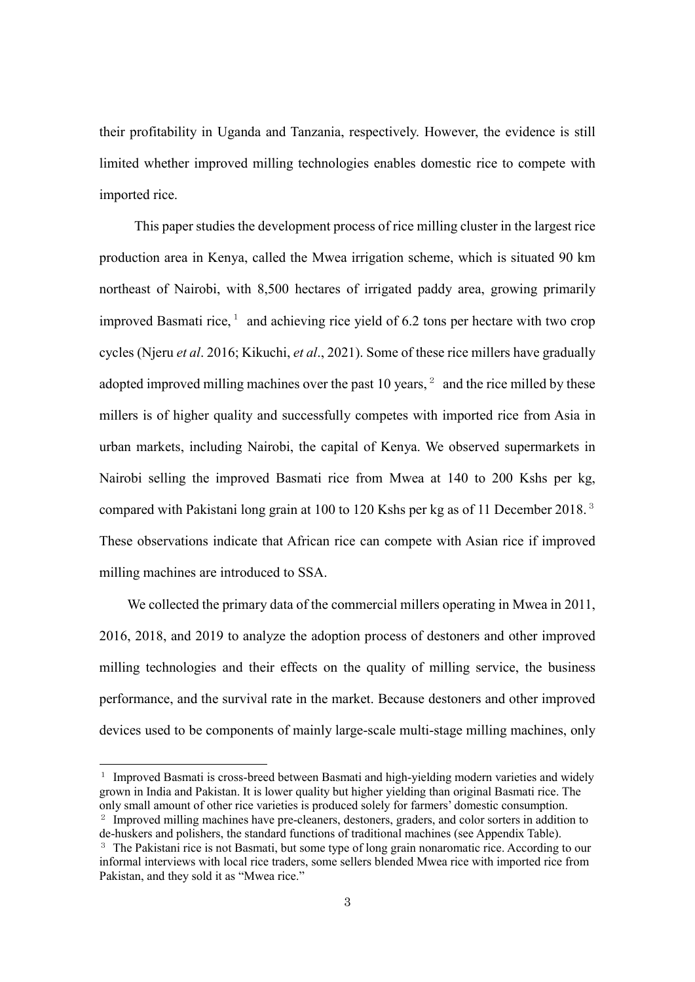their profitability in Uganda and Tanzania, respectively. However, the evidence is still limited whether improved milling technologies enables domestic rice to compete with imported rice.

This paper studies the development process of rice milling cluster in the largest rice production area in Kenya, called the Mwea irrigation scheme, which is situated 90 km northeast of Nairobi, with 8,500 hectares of irrigated paddy area, growing primarily improved Basmati rice,  $1$  and achieving rice yield of 6.2 tons per hectare with two crop cycles (Njeru *et al*. 2016; Kikuchi, *et al*., 2021). Some of these rice millers have gradually adopted improved milling machines over the past 10 years,  $2$  and the rice milled by these millers is of higher quality and successfully competes with imported rice from Asia in urban markets, including Nairobi, the capital of Kenya. We observed supermarkets in Nairobi selling the improved Basmati rice from Mwea at 140 to 200 Kshs per kg, compared with Pakistani long grain at 100 to 120 Kshs per kg as of 11 December 2018.<sup>[3](#page-3-2)</sup> These observations indicate that African rice can compete with Asian rice if improved milling machines are introduced to SSA.

We collected the primary data of the commercial millers operating in Mwea in 2011, 2016, 2018, and 2019 to analyze the adoption process of destoners and other improved milling technologies and their effects on the quality of milling service, the business performance, and the survival rate in the market. Because destoners and other improved devices used to be components of mainly large-scale multi-stage milling machines, only

<span id="page-3-0"></span><sup>&</sup>lt;sup>1</sup> Improved Basmati is cross-breed between Basmati and high-yielding modern varieties and widely grown in India and Pakistan. It is lower quality but higher yielding than original Basmati rice. The only small amount of other rice varieties is produced solely for farmers' domestic consumption.

<span id="page-3-1"></span><sup>&</sup>lt;sup>2</sup> Improved milling machines have pre-cleaners, destoners, graders, and color sorters in addition to de-huskers and polishers, the standard functions of traditional machines (see Appendix Table).

<span id="page-3-2"></span><sup>&</sup>lt;sup>3</sup> The Pakistani rice is not Basmati, but some type of long grain nonaromatic rice. According to our informal interviews with local rice traders, some sellers blended Mwea rice with imported rice from Pakistan, and they sold it as "Mwea rice."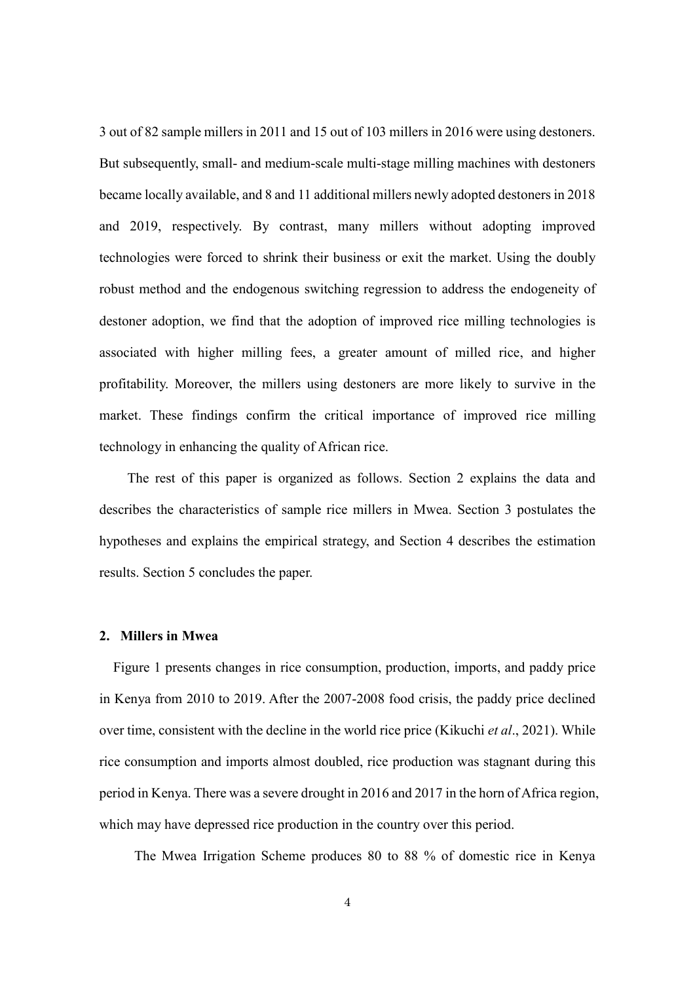3 out of 82 sample millers in 2011 and 15 out of 103 millers in 2016 were using destoners. But subsequently, small- and medium-scale multi-stage milling machines with destoners became locally available, and 8 and 11 additional millers newly adopted destonersin 2018 and 2019, respectively. By contrast, many millers without adopting improved technologies were forced to shrink their business or exit the market. Using the doubly robust method and the endogenous switching regression to address the endogeneity of destoner adoption, we find that the adoption of improved rice milling technologies is associated with higher milling fees, a greater amount of milled rice, and higher profitability. Moreover, the millers using destoners are more likely to survive in the market. These findings confirm the critical importance of improved rice milling technology in enhancing the quality of African rice.

The rest of this paper is organized as follows. Section 2 explains the data and describes the characteristics of sample rice millers in Mwea. Section 3 postulates the hypotheses and explains the empirical strategy, and Section 4 describes the estimation results. Section 5 concludes the paper.

#### **2. Millers in Mwea**

Figure 1 presents changes in rice consumption, production, imports, and paddy price in Kenya from 2010 to 2019. After the 2007-2008 food crisis, the paddy price declined over time, consistent with the decline in the world rice price (Kikuchi *et al*., 2021). While rice consumption and imports almost doubled, rice production was stagnant during this period in Kenya. There was a severe drought in 2016 and 2017 in the horn of Africa region, which may have depressed rice production in the country over this period.

The Mwea Irrigation Scheme produces 80 to 88 % of domestic rice in Kenya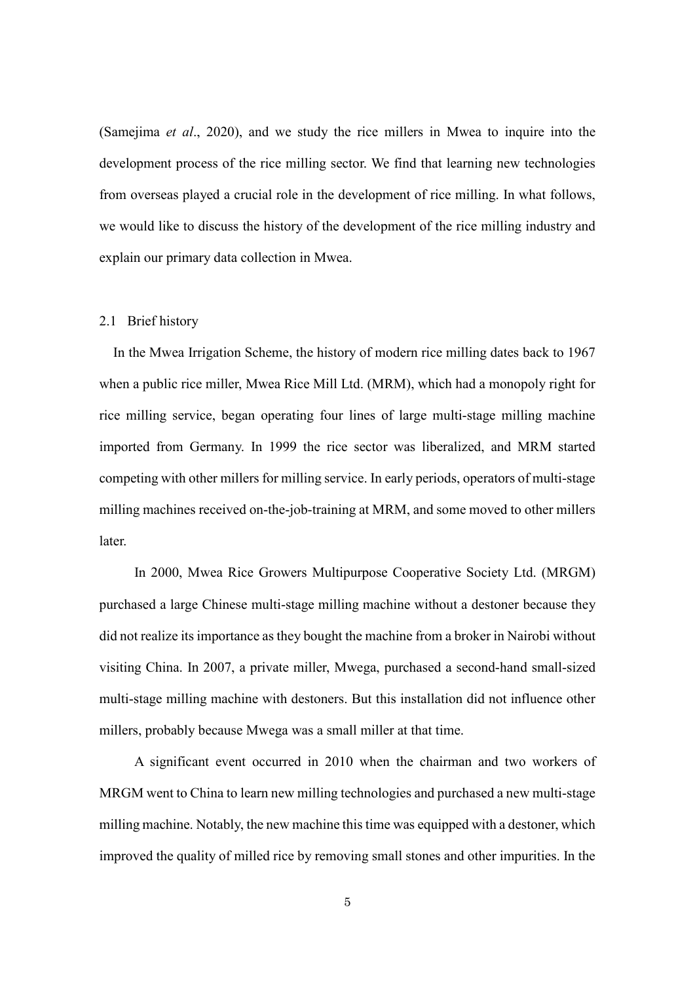(Samejima *et al*., 2020), and we study the rice millers in Mwea to inquire into the development process of the rice milling sector. We find that learning new technologies from overseas played a crucial role in the development of rice milling. In what follows, we would like to discuss the history of the development of the rice milling industry and explain our primary data collection in Mwea.

#### 2.1 Brief history

In the Mwea Irrigation Scheme, the history of modern rice milling dates back to 1967 when a public rice miller, Mwea Rice Mill Ltd. (MRM), which had a monopoly right for rice milling service, began operating four lines of large multi-stage milling machine imported from Germany. In 1999 the rice sector was liberalized, and MRM started competing with other millers for milling service. In early periods, operators of multi-stage milling machines received on-the-job-training at MRM, and some moved to other millers later.

In 2000, Mwea Rice Growers Multipurpose Cooperative Society Ltd. (MRGM) purchased a large Chinese multi-stage milling machine without a destoner because they did not realize its importance as they bought the machine from a broker in Nairobi without visiting China. In 2007, a private miller, Mwega, purchased a second-hand small-sized multi-stage milling machine with destoners. But this installation did not influence other millers, probably because Mwega was a small miller at that time.

A significant event occurred in 2010 when the chairman and two workers of MRGM went to China to learn new milling technologies and purchased a new multi-stage milling machine. Notably, the new machine this time was equipped with a destoner, which improved the quality of milled rice by removing small stones and other impurities. In the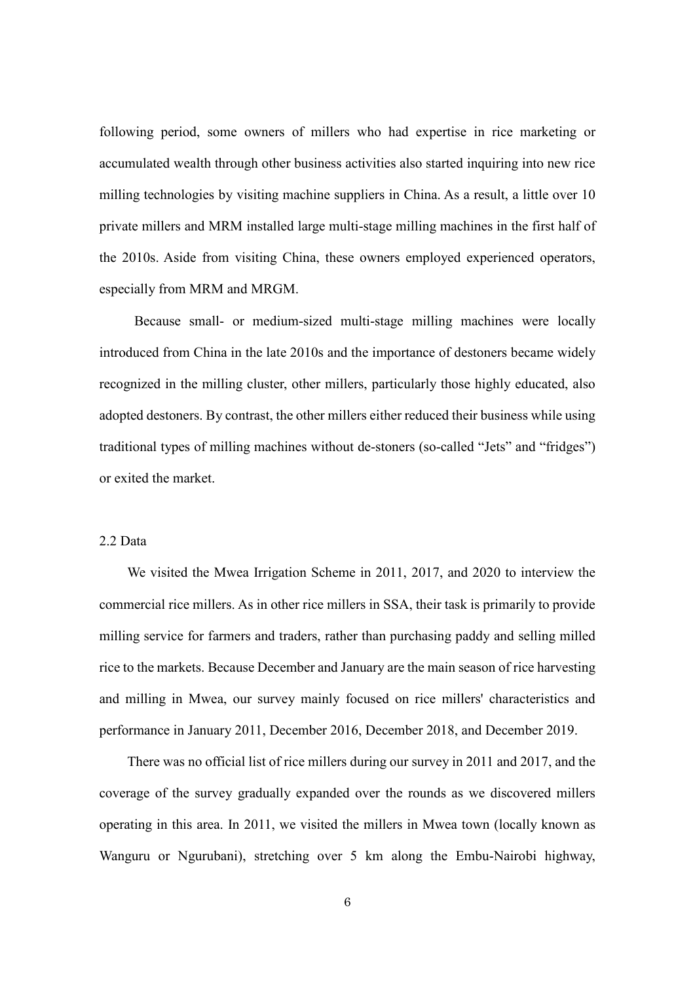following period, some owners of millers who had expertise in rice marketing or accumulated wealth through other business activities also started inquiring into new rice milling technologies by visiting machine suppliers in China. As a result, a little over 10 private millers and MRM installed large multi-stage milling machines in the first half of the 2010s. Aside from visiting China, these owners employed experienced operators, especially from MRM and MRGM.

Because small- or medium-sized multi-stage milling machines were locally introduced from China in the late 2010s and the importance of destoners became widely recognized in the milling cluster, other millers, particularly those highly educated, also adopted destoners. By contrast, the other millers either reduced their business while using traditional types of milling machines without de-stoners (so-called "Jets" and "fridges") or exited the market.

# 2.2 Data

We visited the Mwea Irrigation Scheme in 2011, 2017, and 2020 to interview the commercial rice millers. As in other rice millers in SSA, their task is primarily to provide milling service for farmers and traders, rather than purchasing paddy and selling milled rice to the markets. Because December and January are the main season of rice harvesting and milling in Mwea, our survey mainly focused on rice millers' characteristics and performance in January 2011, December 2016, December 2018, and December 2019.

There was no official list of rice millers during our survey in 2011 and 2017, and the coverage of the survey gradually expanded over the rounds as we discovered millers operating in this area. In 2011, we visited the millers in Mwea town (locally known as Wanguru or Ngurubani), stretching over 5 km along the Embu-Nairobi highway,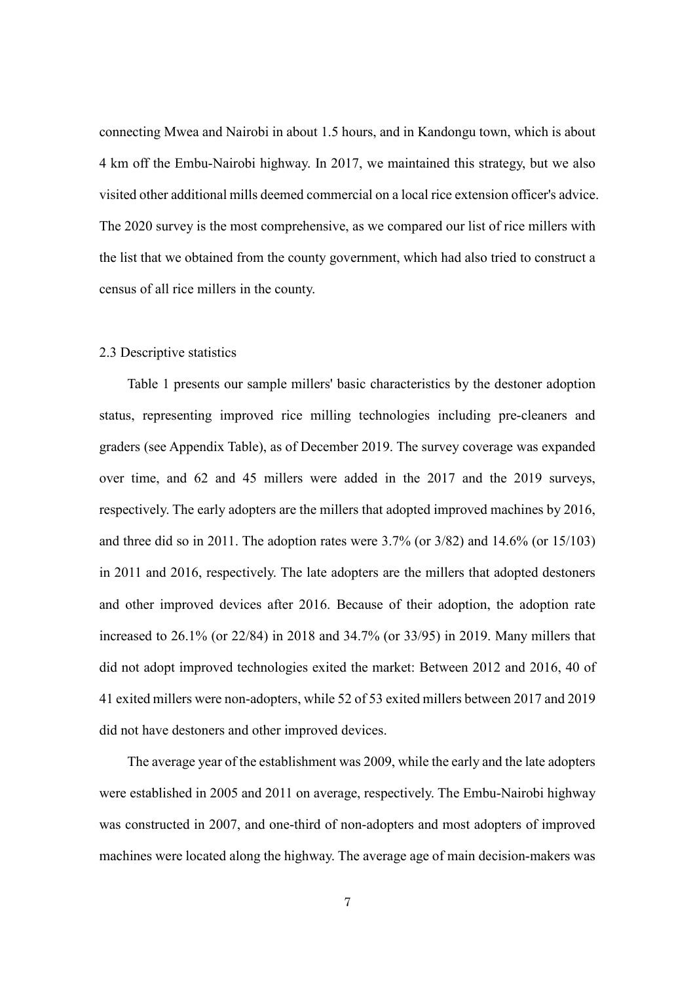connecting Mwea and Nairobi in about 1.5 hours, and in Kandongu town, which is about 4 km off the Embu-Nairobi highway. In 2017, we maintained this strategy, but we also visited other additional mills deemed commercial on a local rice extension officer's advice. The 2020 survey is the most comprehensive, as we compared our list of rice millers with the list that we obtained from the county government, which had also tried to construct a census of all rice millers in the county.

#### 2.3 Descriptive statistics

Table 1 presents our sample millers' basic characteristics by the destoner adoption status, representing improved rice milling technologies including pre-cleaners and graders (see Appendix Table), as of December 2019. The survey coverage was expanded over time, and 62 and 45 millers were added in the 2017 and the 2019 surveys, respectively. The early adopters are the millers that adopted improved machines by 2016, and three did so in 2011. The adoption rates were 3.7% (or 3/82) and 14.6% (or 15/103) in 2011 and 2016, respectively. The late adopters are the millers that adopted destoners and other improved devices after 2016. Because of their adoption, the adoption rate increased to 26.1% (or 22/84) in 2018 and 34.7% (or 33/95) in 2019. Many millers that did not adopt improved technologies exited the market: Between 2012 and 2016, 40 of 41 exited millers were non-adopters, while 52 of 53 exited millers between 2017 and 2019 did not have destoners and other improved devices.

The average year of the establishment was 2009, while the early and the late adopters were established in 2005 and 2011 on average, respectively. The Embu-Nairobi highway was constructed in 2007, and one-third of non-adopters and most adopters of improved machines were located along the highway. The average age of main decision-makers was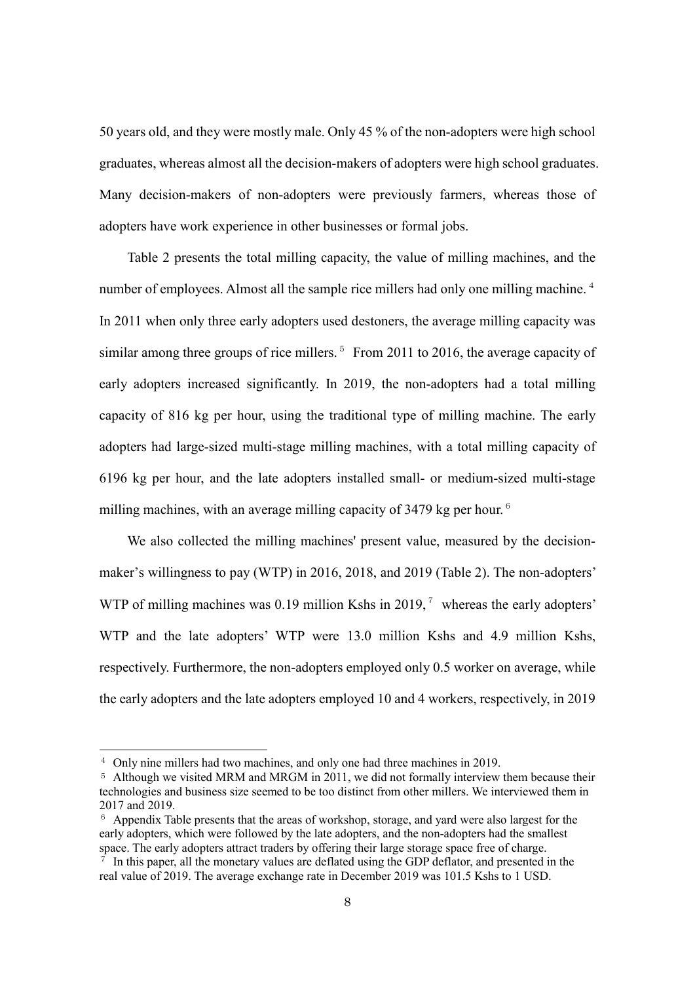50 years old, and they were mostly male. Only 45 % of the non-adopters were high school graduates, whereas almost all the decision-makers of adopters were high school graduates. Many decision-makers of non-adopters were previously farmers, whereas those of adopters have work experience in other businesses or formal jobs.

Table 2 presents the total milling capacity, the value of milling machines, and the number of employees. Almost all the sample rice millers had only one milling machine.<sup>[4](#page-8-0)</sup> In 2011 when only three early adopters used destoners, the average milling capacity was similar among three groups of rice millers.<sup>[5](#page-8-1)</sup> From 2011 to 2016, the average capacity of early adopters increased significantly. In 2019, the non-adopters had a total milling capacity of 816 kg per hour, using the traditional type of milling machine. The early adopters had large-sized multi-stage milling machines, with a total milling capacity of 6196 kg per hour, and the late adopters installed small- or medium-sized multi-stage milling machines, with an average milling capacity of  $3479$  kg per hour.<sup>[6](#page-8-2)</sup>

We also collected the milling machines' present value, measured by the decisionmaker's willingness to pay (WTP) in 2016, 2018, and 2019 (Table 2). The non-adopters' WTP of milling machines was 0.19 million Kshs in 2019,<sup>[7](#page-8-3)</sup> whereas the early adopters' WTP and the late adopters' WTP were 13.0 million Kshs and 4.9 million Kshs, respectively. Furthermore, the non-adopters employed only 0.5 worker on average, while the early adopters and the late adopters employed 10 and 4 workers, respectively, in 2019

<span id="page-8-0"></span><sup>&</sup>lt;sup>4</sup> Only nine millers had two machines, and only one had three machines in 2019.

<span id="page-8-1"></span><sup>5</sup> Although we visited MRM and MRGM in 2011, we did not formally interview them because their technologies and business size seemed to be too distinct from other millers. We interviewed them in 2017 and 2019.

<span id="page-8-2"></span><sup>&</sup>lt;sup>6</sup> Appendix Table presents that the areas of workshop, storage, and yard were also largest for the early adopters, which were followed by the late adopters, and the non-adopters had the smallest space. The early adopters attract traders by offering their large storage space free of charge.

<span id="page-8-3"></span> $\tau$  In this paper, all the monetary values are deflated using the GDP deflator, and presented in the real value of 2019. The average exchange rate in December 2019 was 101.5 Kshs to 1 USD.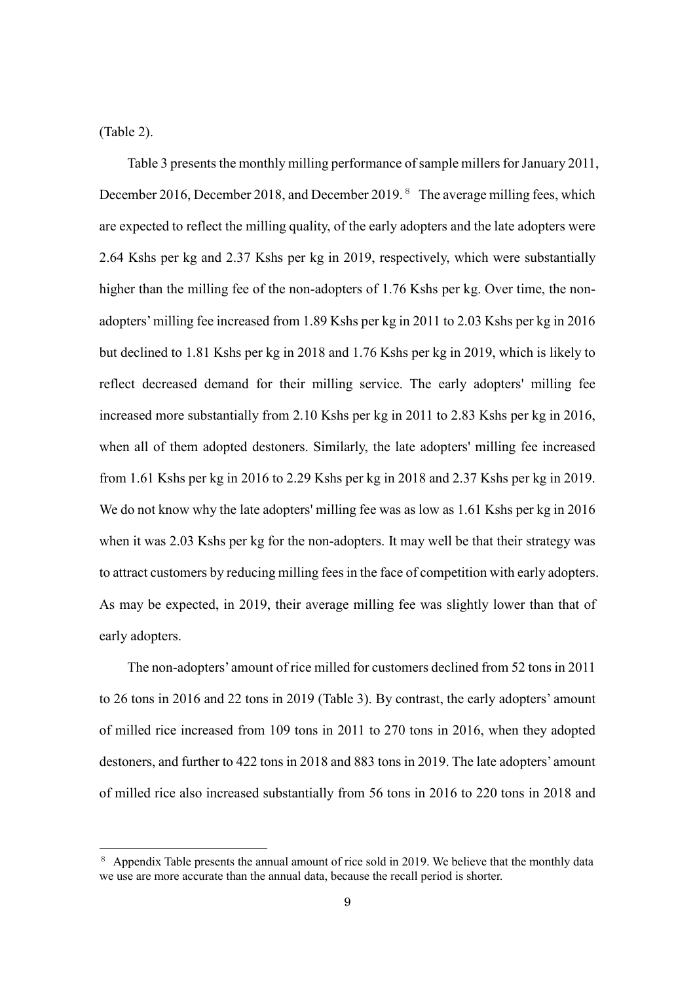(Table 2).

1

Table 3 presents the monthly milling performance of sample millers for January 2011, December 2016, December 201[8](#page-9-0), and December 2019.<sup>8</sup> The average milling fees, which are expected to reflect the milling quality, of the early adopters and the late adopters were 2.64 Kshs per kg and 2.37 Kshs per kg in 2019, respectively, which were substantially higher than the milling fee of the non-adopters of 1.76 Kshs per kg. Over time, the nonadopters' milling fee increased from 1.89 Kshs per kg in 2011 to 2.03 Kshs per kg in 2016 but declined to 1.81 Kshs per kg in 2018 and 1.76 Kshs per kg in 2019, which is likely to reflect decreased demand for their milling service. The early adopters' milling fee increased more substantially from 2.10 Kshs per kg in 2011 to 2.83 Kshs per kg in 2016, when all of them adopted destoners. Similarly, the late adopters' milling fee increased from 1.61 Kshs per kg in 2016 to 2.29 Kshs per kg in 2018 and 2.37 Kshs per kg in 2019. We do not know why the late adopters' milling fee was as low as 1.61 Kshs per kg in 2016 when it was 2.03 Kshs per kg for the non-adopters. It may well be that their strategy was to attract customers by reducing milling fees in the face of competition with early adopters. As may be expected, in 2019, their average milling fee was slightly lower than that of early adopters.

The non-adopters' amount of rice milled for customers declined from 52 tons in 2011 to 26 tons in 2016 and 22 tons in 2019 (Table 3). By contrast, the early adopters' amount of milled rice increased from 109 tons in 2011 to 270 tons in 2016, when they adopted destoners, and further to 422 tons in 2018 and 883 tons in 2019. The late adopters' amount of milled rice also increased substantially from 56 tons in 2016 to 220 tons in 2018 and

<span id="page-9-0"></span><sup>&</sup>lt;sup>8</sup> Appendix Table presents the annual amount of rice sold in 2019. We believe that the monthly data we use are more accurate than the annual data, because the recall period is shorter.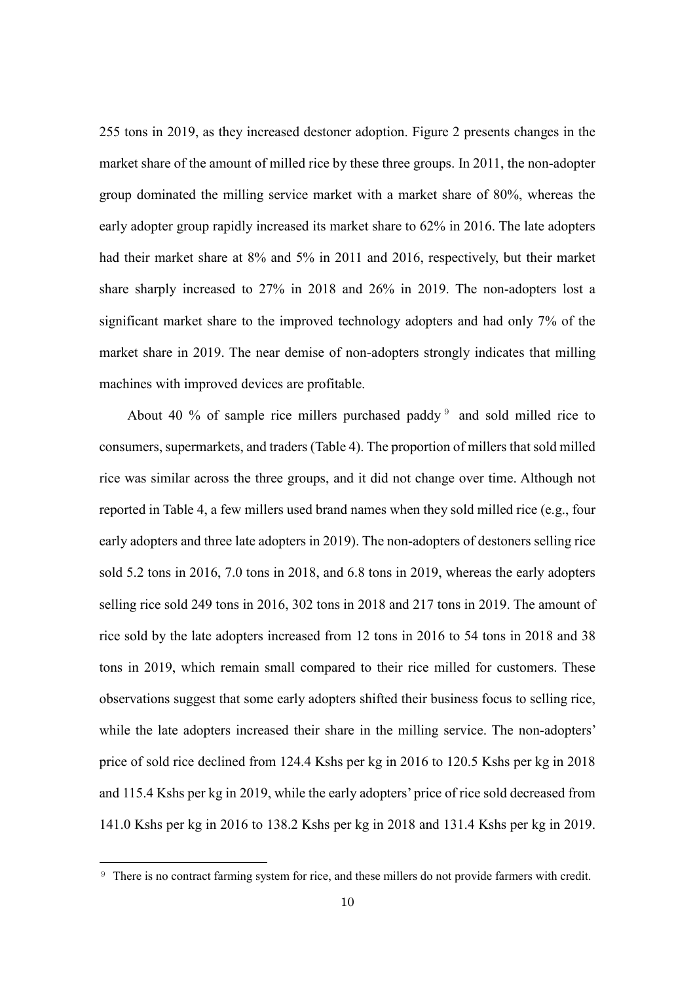255 tons in 2019, as they increased destoner adoption. Figure 2 presents changes in the market share of the amount of milled rice by these three groups. In 2011, the non-adopter group dominated the milling service market with a market share of 80%, whereas the early adopter group rapidly increased its market share to 62% in 2016. The late adopters had their market share at 8% and 5% in 2011 and 2016, respectively, but their market share sharply increased to 27% in 2018 and 26% in 2019. The non-adopters lost a significant market share to the improved technology adopters and had only 7% of the market share in 2019. The near demise of non-adopters strongly indicates that milling machines with improved devices are profitable.

About 40 % of sample rice millers purchased paddy  $9$  and sold milled rice to consumers, supermarkets, and traders (Table 4). The proportion of millers that sold milled rice was similar across the three groups, and it did not change over time. Although not reported in Table 4, a few millers used brand names when they sold milled rice (e.g., four early adopters and three late adopters in 2019). The non-adopters of destoners selling rice sold 5.2 tons in 2016, 7.0 tons in 2018, and 6.8 tons in 2019, whereas the early adopters selling rice sold 249 tons in 2016, 302 tons in 2018 and 217 tons in 2019. The amount of rice sold by the late adopters increased from 12 tons in 2016 to 54 tons in 2018 and 38 tons in 2019, which remain small compared to their rice milled for customers. These observations suggest that some early adopters shifted their business focus to selling rice, while the late adopters increased their share in the milling service. The non-adopters' price of sold rice declined from 124.4 Kshs per kg in 2016 to 120.5 Kshs per kg in 2018 and 115.4 Kshs per kg in 2019, while the early adopters' price of rice sold decreased from 141.0 Kshs per kg in 2016 to 138.2 Kshs per kg in 2018 and 131.4 Kshs per kg in 2019.

<span id="page-10-0"></span><sup>9</sup> There is no contract farming system for rice, and these millers do not provide farmers with credit.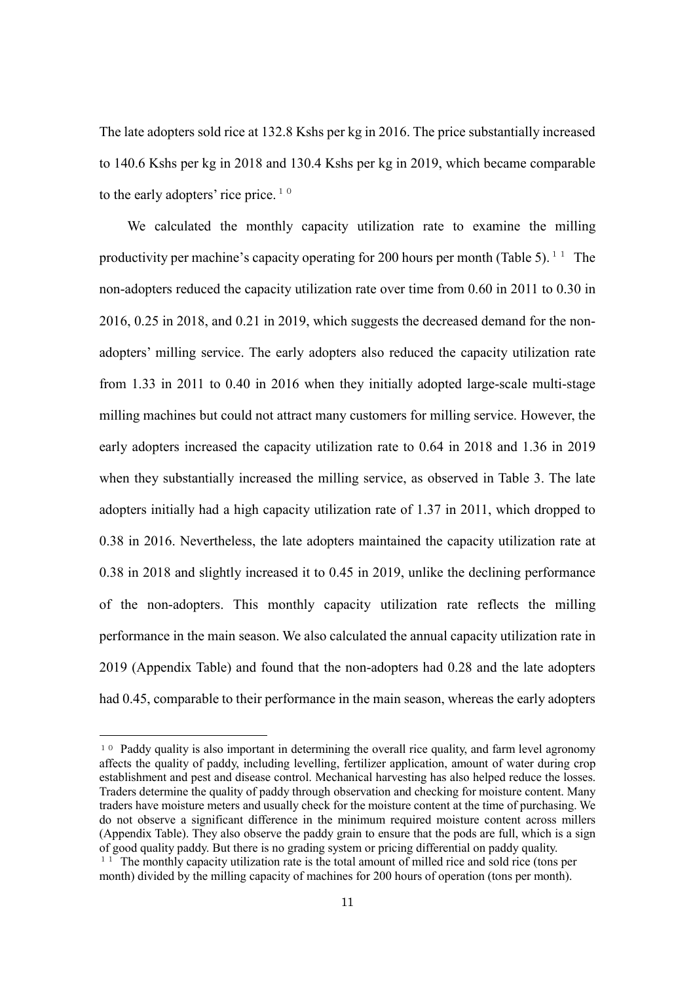The late adopters sold rice at 132.8 Kshs per kg in 2016. The price substantially increased to 140.6 Kshs per kg in 2018 and 130.4 Kshs per kg in 2019, which became comparable to the early adopters' rice price.<sup>[10](#page-11-0)</sup>

We calculated the monthly capacity utilization rate to examine the milling productivity per machine's capacity operating for 200 hours per month (Table 5).  $11$  The non-adopters reduced the capacity utilization rate over time from 0.60 in 2011 to 0.30 in 2016, 0.25 in 2018, and 0.21 in 2019, which suggests the decreased demand for the nonadopters' milling service. The early adopters also reduced the capacity utilization rate from 1.33 in 2011 to 0.40 in 2016 when they initially adopted large-scale multi-stage milling machines but could not attract many customers for milling service. However, the early adopters increased the capacity utilization rate to 0.64 in 2018 and 1.36 in 2019 when they substantially increased the milling service, as observed in Table 3. The late adopters initially had a high capacity utilization rate of 1.37 in 2011, which dropped to 0.38 in 2016. Nevertheless, the late adopters maintained the capacity utilization rate at 0.38 in 2018 and slightly increased it to 0.45 in 2019, unlike the declining performance of the non-adopters. This monthly capacity utilization rate reflects the milling performance in the main season. We also calculated the annual capacity utilization rate in 2019 (Appendix Table) and found that the non-adopters had 0.28 and the late adopters had 0.45, comparable to their performance in the main season, whereas the early adopters

<span id="page-11-0"></span><sup>&</sup>lt;sup>10</sup> Paddy quality is also important in determining the overall rice quality, and farm level agronomy affects the quality of paddy, including levelling, fertilizer application, amount of water during crop establishment and pest and disease control. Mechanical harvesting has also helped reduce the losses. Traders determine the quality of paddy through observation and checking for moisture content. Many traders have moisture meters and usually check for the moisture content at the time of purchasing. We do not observe a significant difference in the minimum required moisture content across millers (Appendix Table). They also observe the paddy grain to ensure that the pods are full, which is a sign of good quality paddy. But there is no grading system or pricing differential on paddy quality.

<span id="page-11-1"></span> $1<sup>1</sup>$  The monthly capacity utilization rate is the total amount of milled rice and sold rice (tons per month) divided by the milling capacity of machines for 200 hours of operation (tons per month).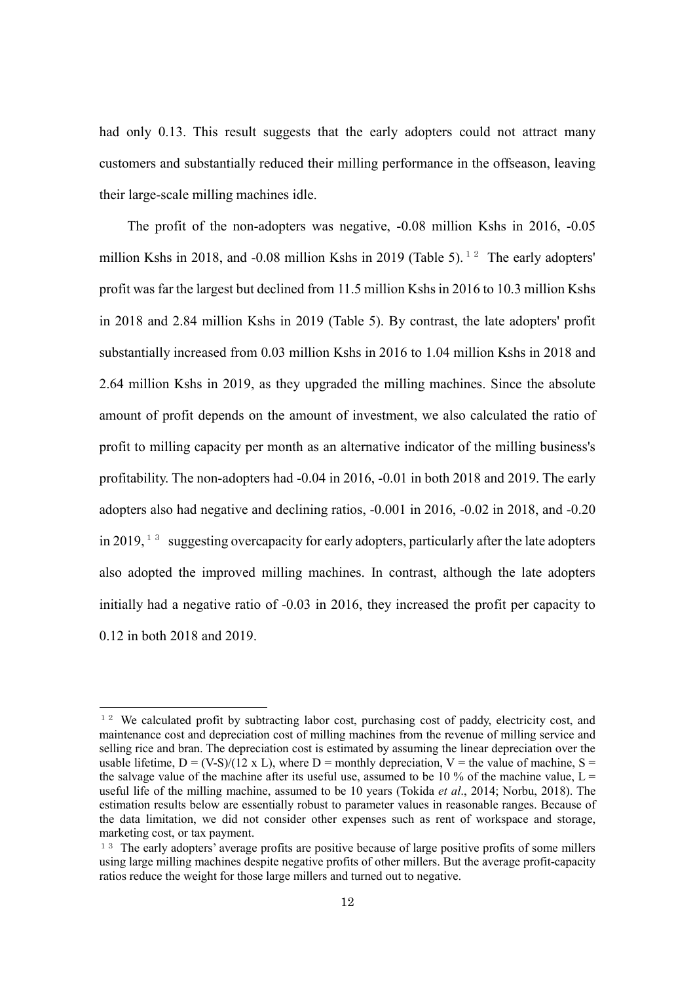had only 0.13. This result suggests that the early adopters could not attract many customers and substantially reduced their milling performance in the offseason, leaving their large-scale milling machines idle.

The profit of the non-adopters was negative, -0.08 million Kshs in 2016, -0.05 million Kshs in 2018, and -0.08 million Kshs in 2019 (Table 5).<sup>[12](#page-12-0)</sup> The early adopters' profit was far the largest but declined from 11.5 million Kshs in 2016 to 10.3 million Kshs in 2018 and 2.84 million Kshs in 2019 (Table 5). By contrast, the late adopters' profit substantially increased from 0.03 million Kshs in 2016 to 1.04 million Kshs in 2018 and 2.64 million Kshs in 2019, as they upgraded the milling machines. Since the absolute amount of profit depends on the amount of investment, we also calculated the ratio of profit to milling capacity per month as an alternative indicator of the milling business's profitability. The non-adopters had -0.04 in 2016, -0.01 in both 2018 and 2019. The early adopters also had negative and declining ratios, -0.001 in 2016, -0.02 in 2018, and -0.20 in 2019,  $13$  suggesting overcapacity for early adopters, particularly after the late adopters also adopted the improved milling machines. In contrast, although the late adopters initially had a negative ratio of -0.03 in 2016, they increased the profit per capacity to 0.12 in both 2018 and 2019.

<span id="page-12-0"></span><sup>&</sup>lt;sup>12</sup> We calculated profit by subtracting labor cost, purchasing cost of paddy, electricity cost, and maintenance cost and depreciation cost of milling machines from the revenue of milling service and selling rice and bran. The depreciation cost is estimated by assuming the linear depreciation over the usable lifetime,  $D = (V-S)/(12 \times L)$ , where  $D =$  monthly depreciation,  $V =$  the value of machine,  $S =$ the salvage value of the machine after its useful use, assumed to be 10 % of the machine value,  $L =$ useful life of the milling machine, assumed to be 10 years (Tokida *et al*., 2014; Norbu, 2018). The estimation results below are essentially robust to parameter values in reasonable ranges. Because of the data limitation, we did not consider other expenses such as rent of workspace and storage, marketing cost, or tax payment.

<span id="page-12-1"></span><sup>&</sup>lt;sup>13</sup> The early adopters' average profits are positive because of large positive profits of some millers using large milling machines despite negative profits of other millers. But the average profit-capacity ratios reduce the weight for those large millers and turned out to negative.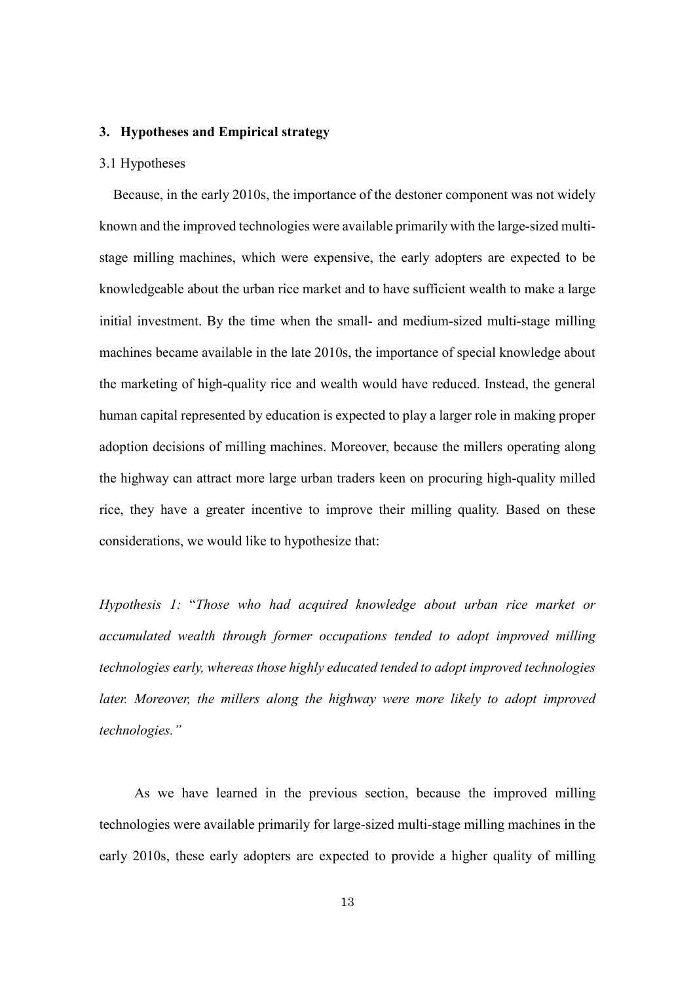# **3. Hypotheses and Empirical strategy**

#### 3.1 Hypotheses

Because, in the early 2010s, the importance of the destoner component was not widely known and the improved technologies were available primarily with the large-sized multistage milling machines, which were expensive, the early adopters are expected to be knowledgeable about the urban rice market and to have sufficient wealth to make a large initial investment. By the time when the small- and medium-sized multi-stage milling machines became available in the late 2010s, the importance of special knowledge about the marketing of high-quality rice and wealth would have reduced. Instead, the general human capital represented by education is expected to play a larger role in making proper adoption decisions of milling machines. Moreover, because the millers operating along the highway can attract more large urban traders keen on procuring high-quality milled rice, they have a greater incentive to improve their milling quality. Based on these considerations, we would like to hypothesize that:

*Hypothesis 1:* "*Those who had acquired knowledge about urban rice market or accumulated wealth through former occupations tended to adopt improved milling technologies early, whereas those highly educated tended to adopt improved technologies* later. Moreover, the millers along the highway were more likely to adopt improved *technologies."*

As we have learned in the previous section, because the improved milling technologies were available primarily for large-sized multi-stage milling machines in the early 2010s, these early adopters are expected to provide a higher quality of milling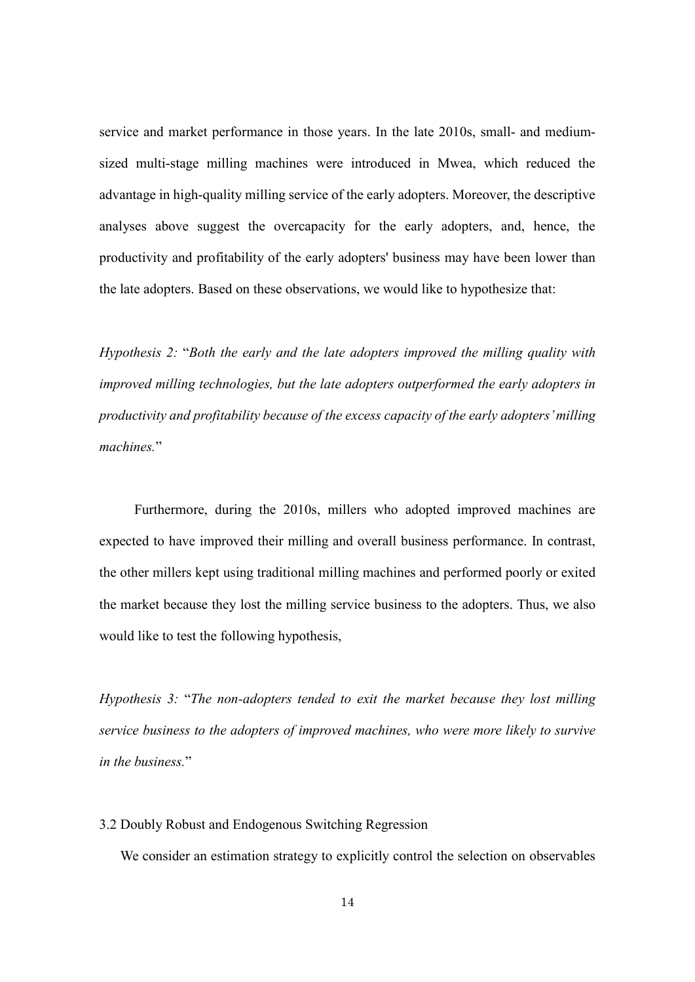service and market performance in those years. In the late 2010s, small- and mediumsized multi-stage milling machines were introduced in Mwea, which reduced the advantage in high-quality milling service of the early adopters. Moreover, the descriptive analyses above suggest the overcapacity for the early adopters, and, hence, the productivity and profitability of the early adopters' business may have been lower than the late adopters. Based on these observations, we would like to hypothesize that:

*Hypothesis 2:* "*Both the early and the late adopters improved the milling quality with improved milling technologies, but the late adopters outperformed the early adopters in productivity and profitability because of the excess capacity of the early adopters' milling machines.*"

Furthermore, during the 2010s, millers who adopted improved machines are expected to have improved their milling and overall business performance. In contrast, the other millers kept using traditional milling machines and performed poorly or exited the market because they lost the milling service business to the adopters. Thus, we also would like to test the following hypothesis,

*Hypothesis 3:* "*The non-adopters tended to exit the market because they lost milling service business to the adopters of improved machines, who were more likely to survive in the business.*"

3.2 Doubly Robust and Endogenous Switching Regression

We consider an estimation strategy to explicitly control the selection on observables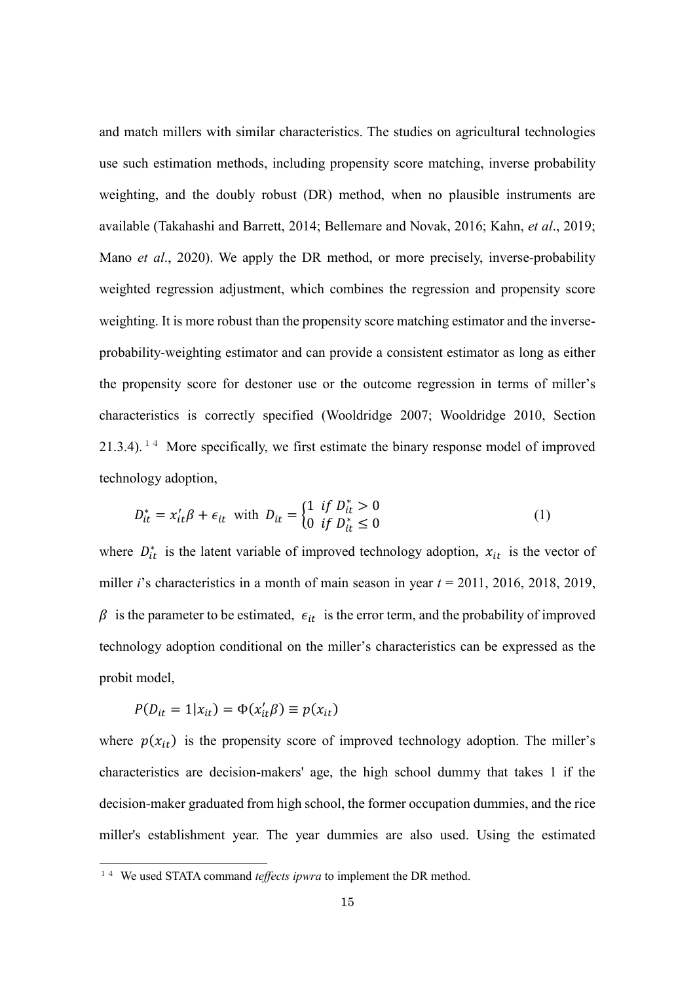and match millers with similar characteristics. The studies on agricultural technologies use such estimation methods, including propensity score matching, inverse probability weighting, and the doubly robust (DR) method, when no plausible instruments are available (Takahashi and Barrett, 2014; Bellemare and Novak, 2016; Kahn, *et al*., 2019; Mano *et al*., 2020). We apply the DR method, or more precisely, inverse-probability weighted regression adjustment, which combines the regression and propensity score weighting. It is more robust than the propensity score matching estimator and the inverseprobability-weighting estimator and can provide a consistent estimator as long as either the propensity score for destoner use or the outcome regression in terms of miller's characteristics is correctly specified (Wooldridge 2007; Wooldridge 2010, Section  $21.3.4$ ). <sup>[14](#page-15-0)</sup> More specifically, we first estimate the binary response model of improved technology adoption,

$$
D_{it}^{*} = x_{it}'\beta + \epsilon_{it} \text{ with } D_{it} = \begin{cases} 1 & \text{if } D_{it}^{*} > 0\\ 0 & \text{if } D_{it}^{*} \le 0 \end{cases}
$$
 (1)

where  $D_{it}^*$  is the latent variable of improved technology adoption,  $x_{it}$  is the vector of miller *i*'s characteristics in a month of main season in year *t* = 2011, 2016, 2018, 2019,  $\beta$  is the parameter to be estimated,  $\epsilon_{it}$  is the error term, and the probability of improved technology adoption conditional on the miller's characteristics can be expressed as the probit model,

$$
P(D_{it} = 1 | x_{it}) = \Phi(x_{it}'\beta) \equiv p(x_{it})
$$

1

where  $p(x_{it})$  is the propensity score of improved technology adoption. The miller's characteristics are decision-makers' age, the high school dummy that takes 1 if the decision-maker graduated from high school, the former occupation dummies, and the rice miller's establishment year. The year dummies are also used. Using the estimated

<span id="page-15-0"></span><sup>&</sup>lt;sup>14</sup> We used STATA command *teffects ipwra* to implement the DR method.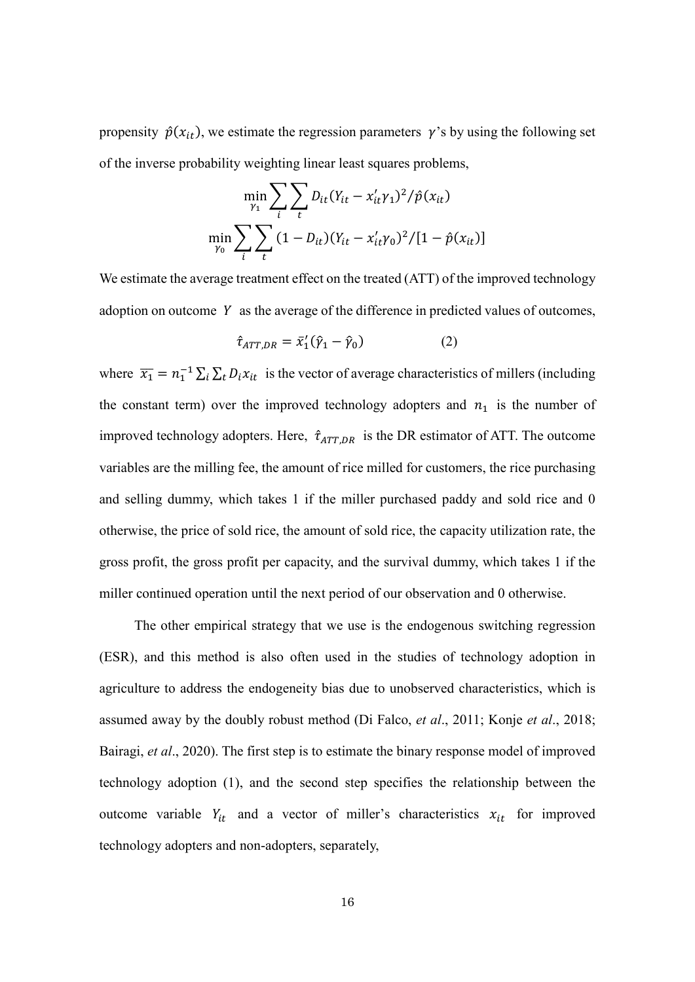propensity  $\hat{p}(x_{it})$ , we estimate the regression parameters  $\gamma$ 's by using the following set of the inverse probability weighting linear least squares problems,

$$
\min_{\gamma_1} \sum_{i} \sum_{t} D_{it} (Y_{it} - x'_{it} \gamma_1)^2 / \hat{p}(x_{it})
$$

$$
\min_{\gamma_0} \sum_{i} \sum_{t} (1 - D_{it}) (Y_{it} - x'_{it} \gamma_0)^2 / [1 - \hat{p}(x_{it})]
$$

We estimate the average treatment effect on the treated (ATT) of the improved technology adoption on outcome  $Y$  as the average of the difference in predicted values of outcomes,

$$
\hat{\tau}_{ATT,DR} = \bar{x}_1'(\hat{\gamma}_1 - \hat{\gamma}_0)
$$
 (2)

where  $\overline{x_1} = n_1^{-1} \sum_i \sum_t D_i x_{it}$  is the vector of average characteristics of millers (including the constant term) over the improved technology adopters and  $n_1$  is the number of improved technology adopters. Here,  $\hat{\tau}_{ATT,DR}$  is the DR estimator of ATT. The outcome variables are the milling fee, the amount of rice milled for customers, the rice purchasing and selling dummy, which takes 1 if the miller purchased paddy and sold rice and 0 otherwise, the price of sold rice, the amount of sold rice, the capacity utilization rate, the gross profit, the gross profit per capacity, and the survival dummy, which takes 1 if the miller continued operation until the next period of our observation and 0 otherwise.

The other empirical strategy that we use is the endogenous switching regression (ESR), and this method is also often used in the studies of technology adoption in agriculture to address the endogeneity bias due to unobserved characteristics, which is assumed away by the doubly robust method (Di Falco, *et al*., 2011; Konje *et al*., 2018; Bairagi, *et al*., 2020). The first step is to estimate the binary response model of improved technology adoption (1), and the second step specifies the relationship between the outcome variable  $Y_{it}$  and a vector of miller's characteristics  $x_{it}$  for improved technology adopters and non-adopters, separately,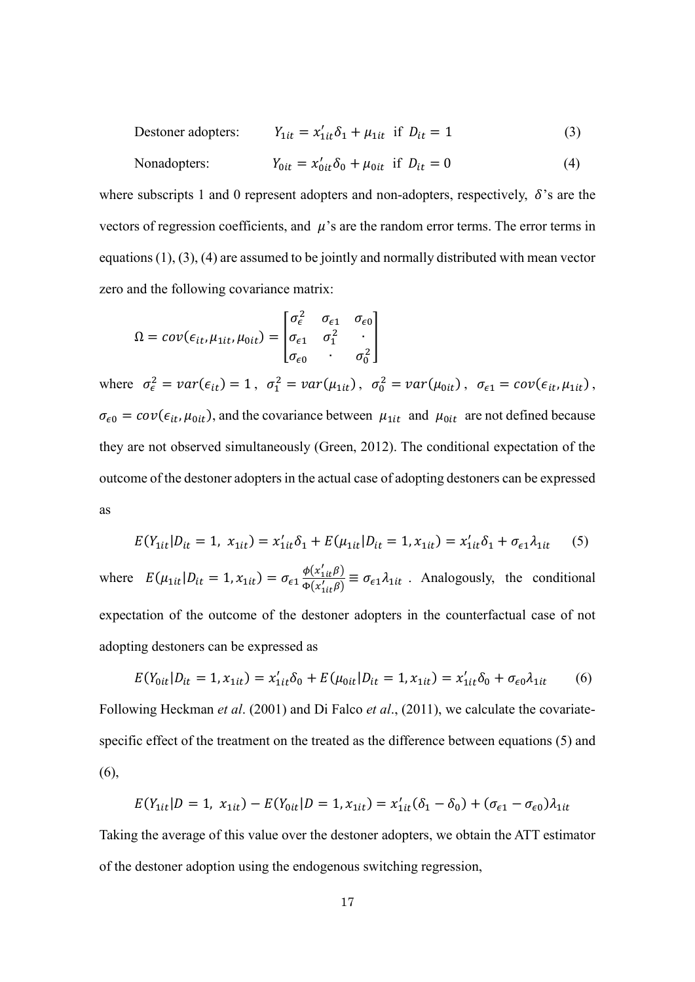Destoner adopters: 
$$
Y_{1it} = x'_{1it} \delta_1 + \mu_{1it}
$$
 if  $D_{it} = 1$  (3)

Nonadopters: 
$$
Y_{0it} = x'_{0it} \delta_0 + \mu_{0it} \text{ if } D_{it} = 0
$$
 (4)

where subscripts 1 and 0 represent adopters and non-adopters, respectively,  $\delta$ 's are the vectors of regression coefficients, and  $\mu$ 's are the random error terms. The error terms in equations (1), (3), (4) are assumed to be jointly and normally distributed with mean vector zero and the following covariance matrix:

$$
\Omega = cov(\epsilon_{it}, \mu_{1it}, \mu_{0it}) = \begin{bmatrix} \sigma_{\epsilon}^2 & \sigma_{\epsilon 1} & \sigma_{\epsilon 0} \\ \sigma_{\epsilon 1} & \sigma_{1}^2 & \cdot \\ \sigma_{\epsilon 0} & \cdot & \sigma_{0}^2 \end{bmatrix}
$$

where  $\sigma_{\epsilon}^2 = var(\epsilon_{it}) = 1$ ,  $\sigma_1^2 = var(\mu_{1it})$ ,  $\sigma_0^2 = var(\mu_{0it})$ ,  $\sigma_{\epsilon 1} = cov(\epsilon_{it}, \mu_{1it})$ ,  $\sigma_{\epsilon 0} = cov(\epsilon_{it}, \mu_{0it})$ , and the covariance between  $\mu_{1it}$  and  $\mu_{0it}$  are not defined because they are not observed simultaneously (Green, 2012). The conditional expectation of the outcome of the destoner adopters in the actual case of adopting destoners can be expressed as

$$
E(Y_{1it}|D_{it}=1, x_{1it}) = x'_{1it}\delta_1 + E(\mu_{1it}|D_{it}=1, x_{1it}) = x'_{1it}\delta_1 + \sigma_{\epsilon 1}\lambda_{1it} \tag{5}
$$

where  $E(\mu_{1it} | D_{it} = 1, x_{1it}) = \sigma_{\epsilon_1} \frac{\phi(x'_{1it}\beta)}{\phi(x'_{1:t}\beta)}$  $\frac{\Psi(x_1\mu\nu)}{\Phi(x_1\mu\nu)} \equiv \sigma_{\epsilon_1}\lambda_{1\mu}$ . Analogously, the conditional expectation of the outcome of the destoner adopters in the counterfactual case of not adopting destoners can be expressed as

$$
E(Y_{0it}|D_{it} = 1, x_{1it}) = x'_{1it}\delta_0 + E(\mu_{0it}|D_{it} = 1, x_{1it}) = x'_{1it}\delta_0 + \sigma_{\epsilon 0}\lambda_{1it}
$$
(6)

Following Heckman *et al*. (2001) and Di Falco *et al*., (2011), we calculate the covariatespecific effect of the treatment on the treated as the difference between equations (5) and (6),

$$
E(Y_{1it}|D=1, x_{1it}) - E(Y_{0it}|D=1, x_{1it}) = x'_{1it}(\delta_1 - \delta_0) + (\sigma_{\epsilon 1} - \sigma_{\epsilon 0})\lambda_{1it}
$$

Taking the average of this value over the destoner adopters, we obtain the ATT estimator of the destoner adoption using the endogenous switching regression,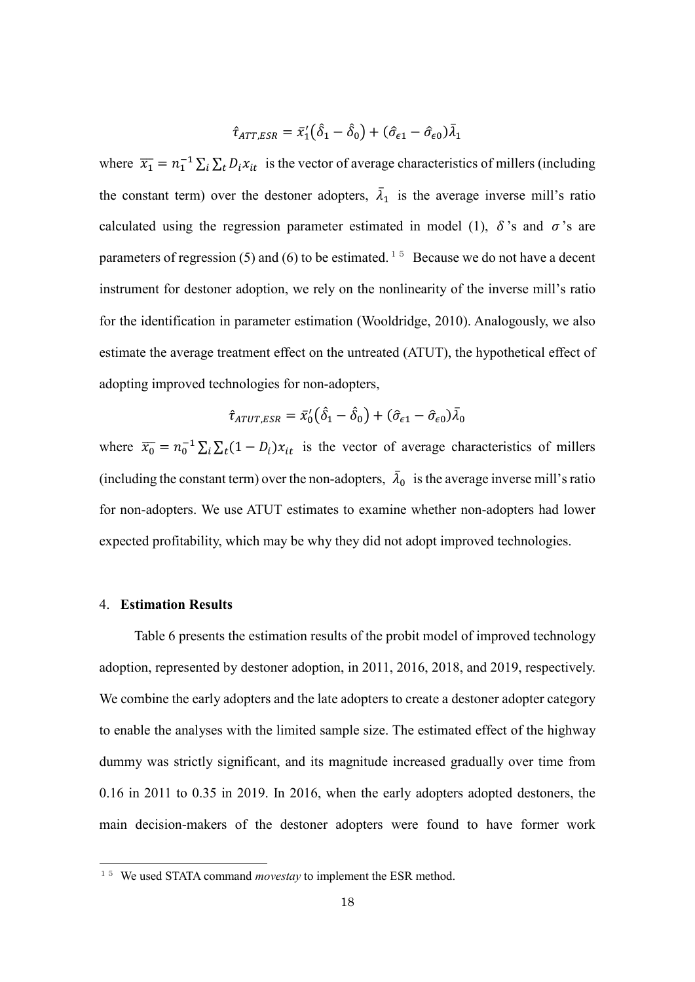$$
\hat{\tau}_{ATT,ESR} = \bar{x}_1' (\hat{\delta}_1 - \hat{\delta}_0) + (\hat{\sigma}_{\epsilon 1} - \hat{\sigma}_{\epsilon 0}) \bar{\lambda}_1
$$

where  $\overline{x_1} = n_1^{-1} \sum_i \sum_t D_i x_{it}$  is the vector of average characteristics of millers (including the constant term) over the destoner adopters,  $\lambda_1$  is the average inverse mill's ratio calculated using the regression parameter estimated in model (1),  $\delta$ 's and  $\sigma$ 's are parameters of regression (5) and (6) to be estimated.<sup>[15](#page-18-0)</sup> Because we do not have a decent instrument for destoner adoption, we rely on the nonlinearity of the inverse mill's ratio for the identification in parameter estimation (Wooldridge, 2010). Analogously, we also estimate the average treatment effect on the untreated (ATUT), the hypothetical effect of adopting improved technologies for non-adopters,

$$
\hat{\tau}_{ATUT,ESR} = \bar{x}_0'(\hat{\delta}_1 - \hat{\delta}_0) + (\hat{\sigma}_{\epsilon 1} - \hat{\sigma}_{\epsilon 0})\bar{\lambda}_0
$$

where  $\overline{x_0} = n_0^{-1} \sum_i \sum_i (1 - D_i) x_{it}$  is the vector of average characteristics of millers (including the constant term) over the non-adopters,  $\bar{\lambda}_0$  is the average inverse mill's ratio for non-adopters. We use ATUT estimates to examine whether non-adopters had lower expected profitability, which may be why they did not adopt improved technologies.

#### 4. **Estimation Results**

1

 Table 6 presents the estimation results of the probit model of improved technology adoption, represented by destoner adoption, in 2011, 2016, 2018, and 2019, respectively. We combine the early adopters and the late adopters to create a destoner adopter category to enable the analyses with the limited sample size. The estimated effect of the highway dummy was strictly significant, and its magnitude increased gradually over time from 0.16 in 2011 to 0.35 in 2019. In 2016, when the early adopters adopted destoners, the main decision-makers of the destoner adopters were found to have former work

<span id="page-18-0"></span><sup>&</sup>lt;sup>15</sup> We used STATA command *movestay* to implement the ESR method.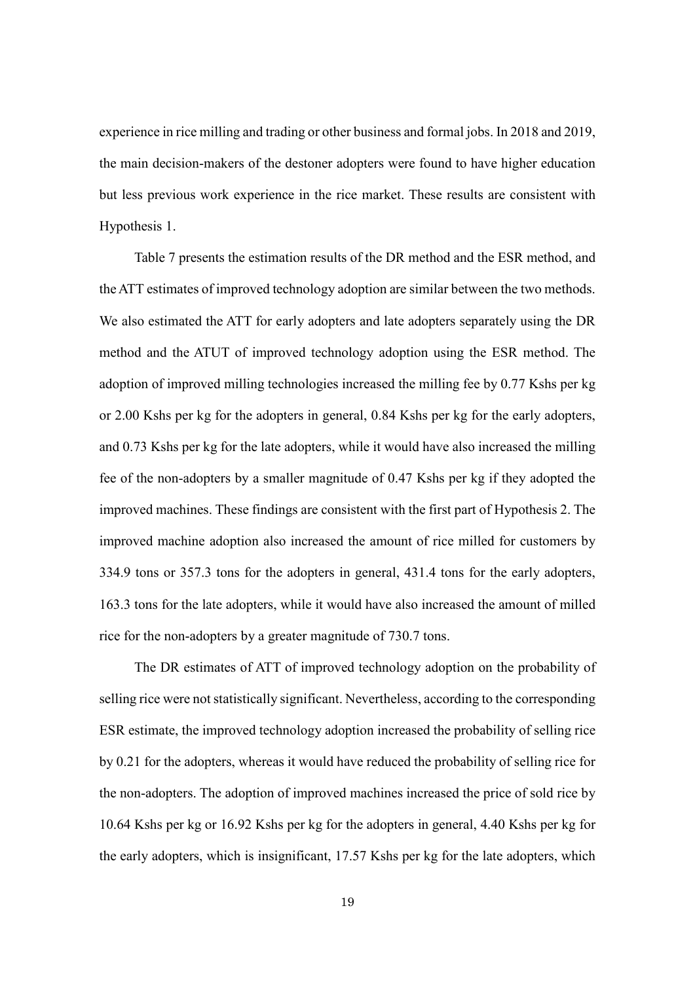experience in rice milling and trading or other business and formal jobs. In 2018 and 2019, the main decision-makers of the destoner adopters were found to have higher education but less previous work experience in the rice market. These results are consistent with Hypothesis 1.

 Table 7 presents the estimation results of the DR method and the ESR method, and the ATT estimates of improved technology adoption are similar between the two methods. We also estimated the ATT for early adopters and late adopters separately using the DR method and the ATUT of improved technology adoption using the ESR method. The adoption of improved milling technologies increased the milling fee by 0.77 Kshs per kg or 2.00 Kshs per kg for the adopters in general, 0.84 Kshs per kg for the early adopters, and 0.73 Kshs per kg for the late adopters, while it would have also increased the milling fee of the non-adopters by a smaller magnitude of 0.47 Kshs per kg if they adopted the improved machines. These findings are consistent with the first part of Hypothesis 2. The improved machine adoption also increased the amount of rice milled for customers by 334.9 tons or 357.3 tons for the adopters in general, 431.4 tons for the early adopters, 163.3 tons for the late adopters, while it would have also increased the amount of milled rice for the non-adopters by a greater magnitude of 730.7 tons.

The DR estimates of ATT of improved technology adoption on the probability of selling rice were not statistically significant. Nevertheless, according to the corresponding ESR estimate, the improved technology adoption increased the probability of selling rice by 0.21 for the adopters, whereas it would have reduced the probability of selling rice for the non-adopters. The adoption of improved machines increased the price of sold rice by 10.64 Kshs per kg or 16.92 Kshs per kg for the adopters in general, 4.40 Kshs per kg for the early adopters, which is insignificant, 17.57 Kshs per kg for the late adopters, which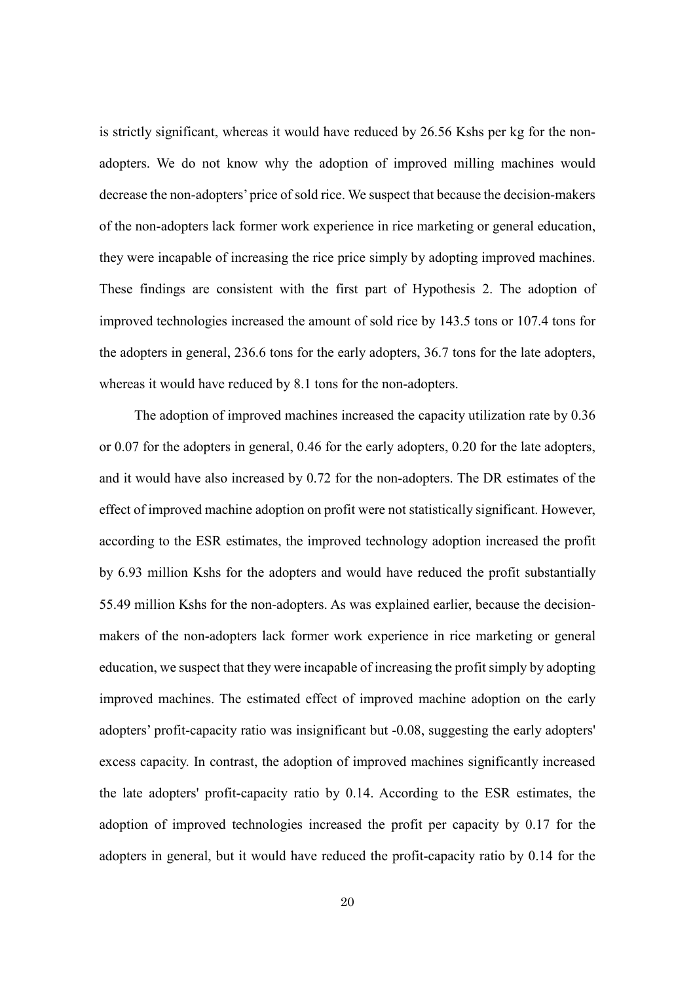is strictly significant, whereas it would have reduced by 26.56 Kshs per kg for the nonadopters. We do not know why the adoption of improved milling machines would decrease the non-adopters' price of sold rice. We suspect that because the decision-makers of the non-adopters lack former work experience in rice marketing or general education, they were incapable of increasing the rice price simply by adopting improved machines. These findings are consistent with the first part of Hypothesis 2. The adoption of improved technologies increased the amount of sold rice by 143.5 tons or 107.4 tons for the adopters in general, 236.6 tons for the early adopters, 36.7 tons for the late adopters, whereas it would have reduced by 8.1 tons for the non-adopters.

The adoption of improved machines increased the capacity utilization rate by 0.36 or 0.07 for the adopters in general, 0.46 for the early adopters, 0.20 for the late adopters, and it would have also increased by 0.72 for the non-adopters. The DR estimates of the effect of improved machine adoption on profit were not statistically significant. However, according to the ESR estimates, the improved technology adoption increased the profit by 6.93 million Kshs for the adopters and would have reduced the profit substantially 55.49 million Kshs for the non-adopters. As was explained earlier, because the decisionmakers of the non-adopters lack former work experience in rice marketing or general education, we suspect that they were incapable of increasing the profit simply by adopting improved machines. The estimated effect of improved machine adoption on the early adopters' profit-capacity ratio was insignificant but -0.08, suggesting the early adopters' excess capacity. In contrast, the adoption of improved machines significantly increased the late adopters' profit-capacity ratio by 0.14. According to the ESR estimates, the adoption of improved technologies increased the profit per capacity by 0.17 for the adopters in general, but it would have reduced the profit-capacity ratio by 0.14 for the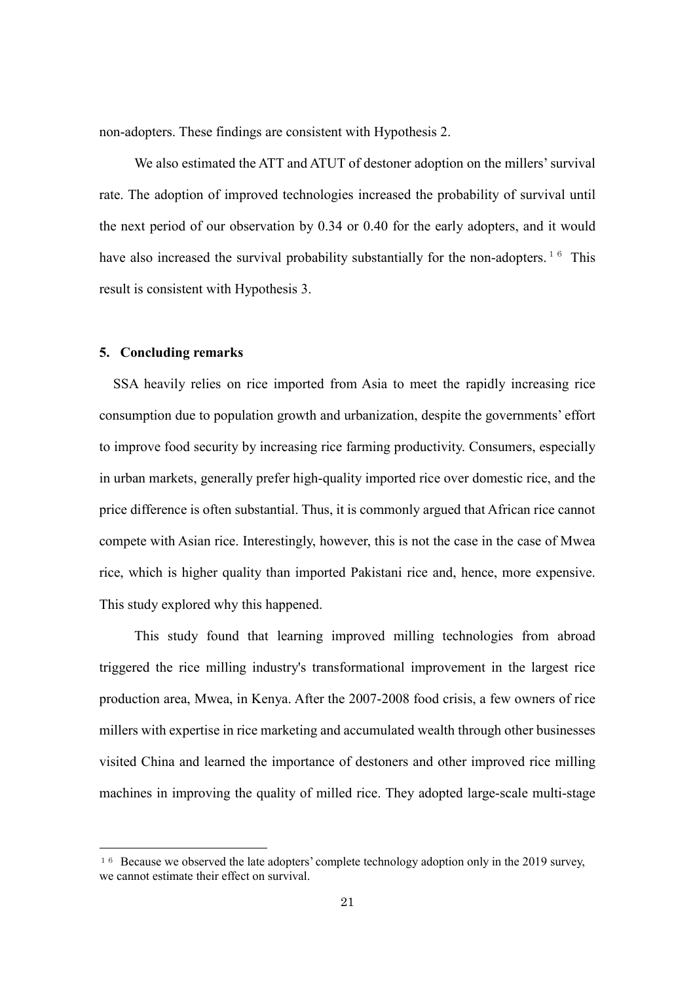non-adopters. These findings are consistent with Hypothesis 2.

We also estimated the ATT and ATUT of destoner adoption on the millers' survival rate. The adoption of improved technologies increased the probability of survival until the next period of our observation by 0.34 or 0.40 for the early adopters, and it would have also increased the survival probability substantially for the non-adopters.<sup>[16](#page-21-0)</sup> This result is consistent with Hypothesis 3.

# **5. Concluding remarks**

1

SSA heavily relies on rice imported from Asia to meet the rapidly increasing rice consumption due to population growth and urbanization, despite the governments' effort to improve food security by increasing rice farming productivity. Consumers, especially in urban markets, generally prefer high-quality imported rice over domestic rice, and the price difference is often substantial. Thus, it is commonly argued that African rice cannot compete with Asian rice. Interestingly, however, this is not the case in the case of Mwea rice, which is higher quality than imported Pakistani rice and, hence, more expensive. This study explored why this happened.

This study found that learning improved milling technologies from abroad triggered the rice milling industry's transformational improvement in the largest rice production area, Mwea, in Kenya. After the 2007-2008 food crisis, a few owners of rice millers with expertise in rice marketing and accumulated wealth through other businesses visited China and learned the importance of destoners and other improved rice milling machines in improving the quality of milled rice. They adopted large-scale multi-stage

<span id="page-21-0"></span><sup>&</sup>lt;sup>16</sup> Because we observed the late adopters' complete technology adoption only in the 2019 survey, we cannot estimate their effect on survival.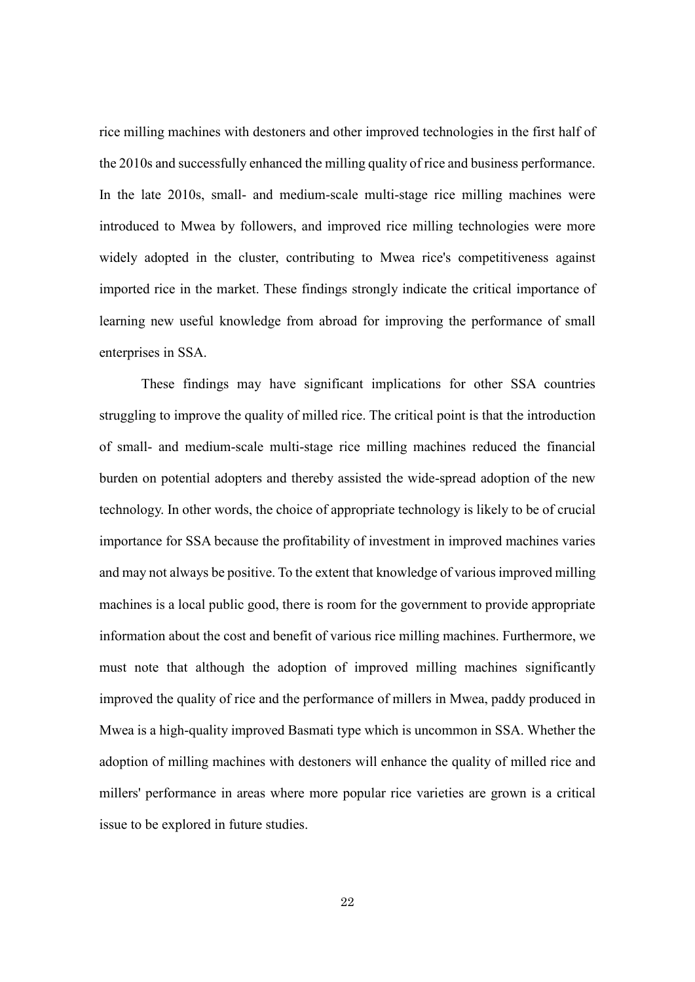rice milling machines with destoners and other improved technologies in the first half of the 2010s and successfully enhanced the milling quality of rice and business performance. In the late 2010s, small- and medium-scale multi-stage rice milling machines were introduced to Mwea by followers, and improved rice milling technologies were more widely adopted in the cluster, contributing to Mwea rice's competitiveness against imported rice in the market. These findings strongly indicate the critical importance of learning new useful knowledge from abroad for improving the performance of small enterprises in SSA.

These findings may have significant implications for other SSA countries struggling to improve the quality of milled rice. The critical point is that the introduction of small- and medium-scale multi-stage rice milling machines reduced the financial burden on potential adopters and thereby assisted the wide-spread adoption of the new technology. In other words, the choice of appropriate technology is likely to be of crucial importance for SSA because the profitability of investment in improved machines varies and may not always be positive. To the extent that knowledge of various improved milling machines is a local public good, there is room for the government to provide appropriate information about the cost and benefit of various rice milling machines. Furthermore, we must note that although the adoption of improved milling machines significantly improved the quality of rice and the performance of millers in Mwea, paddy produced in Mwea is a high-quality improved Basmati type which is uncommon in SSA. Whether the adoption of milling machines with destoners will enhance the quality of milled rice and millers' performance in areas where more popular rice varieties are grown is a critical issue to be explored in future studies.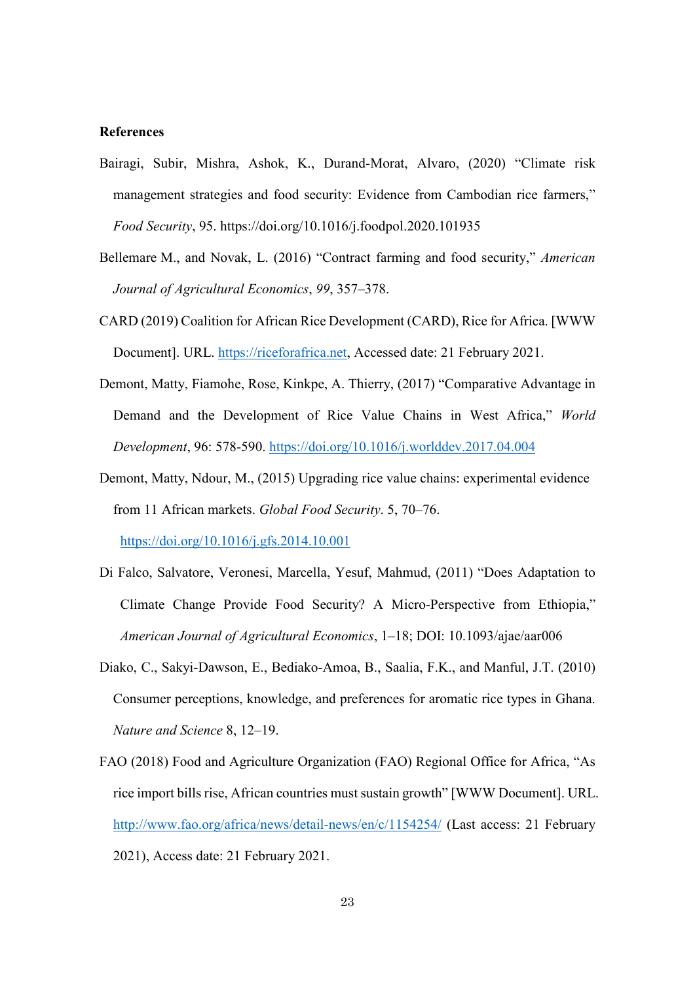#### **References**

- Bairagi, Subir, Mishra, Ashok, K., Durand-Morat, Alvaro, (2020) "Climate risk management strategies and food security: Evidence from Cambodian rice farmers," *Food Security*, 95. https://doi.org/10.1016/j.foodpol.2020.101935
- Bellemare M., and Novak, L. (2016) "Contract farming and food security," *American Journal of Agricultural Economics*, *99*, 357–378.
- CARD (2019) Coalition for African Rice Development (CARD), Rice for Africa. [WWW Document]. URL. [https://riceforafrica.net,](https://riceforafrica.net/) Accessed date: 21 February 2021.
- Demont, Matty, Fiamohe, Rose, Kinkpe, A. Thierry, (2017) "Comparative Advantage in Demand and the Development of Rice Value Chains in West Africa," *World Development*, 96: 578-590. <https://doi.org/10.1016/j.worlddev.2017.04.004>
- Demont, Matty, Ndour, M., (2015) Upgrading rice value chains: experimental evidence from 11 African markets. *Global Food Security*. 5, 70–76. <https://doi.org/10.1016/j.gfs.2014.10.001>
- Di Falco, Salvatore, Veronesi, Marcella, Yesuf, Mahmud, (2011) "Does Adaptation to Climate Change Provide Food Security? A Micro-Perspective from Ethiopia," *American Journal of Agricultural Economics*, 1–18; DOI: 10.1093/ajae/aar006
- Diako, C., Sakyi-Dawson, E., Bediako-Amoa, B., Saalia, F.K., and Manful, J.T. (2010) Consumer perceptions, knowledge, and preferences for aromatic rice types in Ghana. *Nature and Science* 8, 12–19.
- FAO (2018) Food and Agriculture Organization (FAO) Regional Office for Africa, "As rice import bills rise, African countries must sustain growth" [WWW Document]. URL. <http://www.fao.org/africa/news/detail-news/en/c/1154254/> (Last access: 21 February 2021), Access date: 21 February 2021.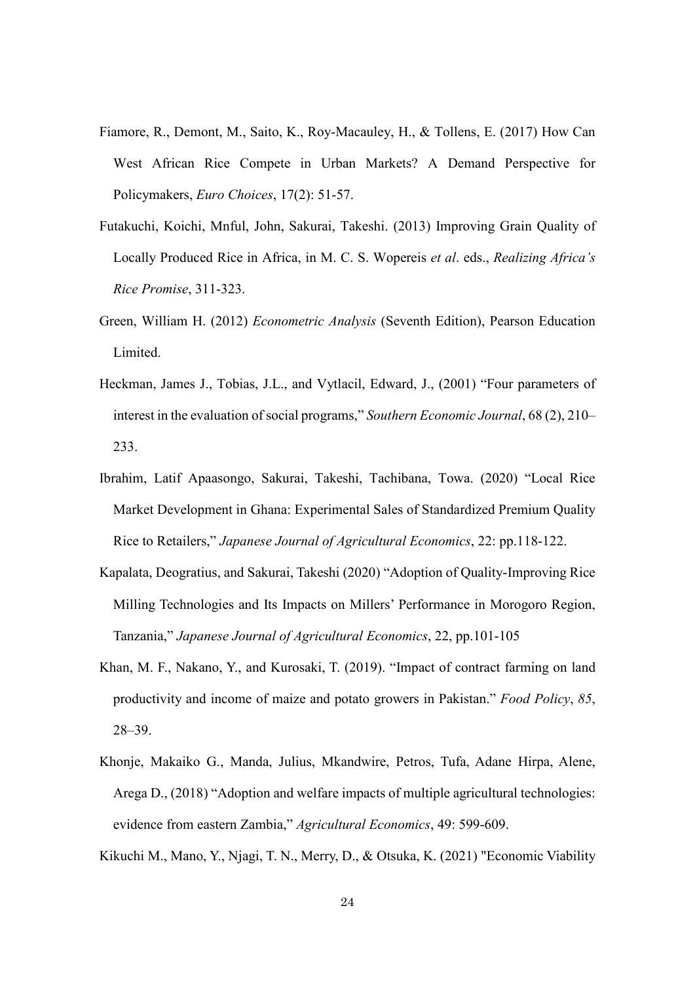- Fiamore, R., Demont, M., Saito, K., Roy-Macauley, H., & Tollens, E. (2017) How Can West African Rice Compete in Urban Markets? A Demand Perspective for Policymakers, *Euro Choices*, 17(2): 51-57.
- Futakuchi, Koichi, Mnful, John, Sakurai, Takeshi. (2013) Improving Grain Quality of Locally Produced Rice in Africa, in M. C. S. Wopereis *et al*. eds., *Realizing Africa's Rice Promise*, 311-323.
- Green, William H. (2012) *Econometric Analysis* (Seventh Edition), Pearson Education Limited.
- Heckman, James J., Tobias, J.L., and Vytlacil, Edward, J., (2001) "Four parameters of interest in the evaluation of social programs," *Southern Economic Journal*, 68 (2), 210– 233.
- Ibrahim, Latif Apaasongo, Sakurai, Takeshi, Tachibana, Towa. (2020) "Local Rice Market Development in Ghana: Experimental Sales of Standardized Premium Quality Rice to Retailers," *Japanese Journal of Agricultural Economics*, 22: pp.118-122.
- Kapalata, Deogratius, and Sakurai, Takeshi (2020) "Adoption of Quality-Improving Rice Milling Technologies and Its Impacts on Millers' Performance in Morogoro Region, Tanzania," *Japanese Journal of Agricultural Economics*, 22, pp.101-105
- Khan, M. F., Nakano, Y., and Kurosaki, T. (2019). "Impact of contract farming on land productivity and income of maize and potato growers in Pakistan." *Food Policy*, *85*, 28–39.
- Khonje, Makaiko G., Manda, Julius, Mkandwire, Petros, Tufa, Adane Hirpa, Alene, Arega D., (2018) "Adoption and welfare impacts of multiple agricultural technologies: evidence from eastern Zambia," *Agricultural Economics*, 49: 599-609.

Kikuchi M., Mano, Y., Njagi, T. N., Merry, D., & Otsuka, K. (2021) "Economic Viability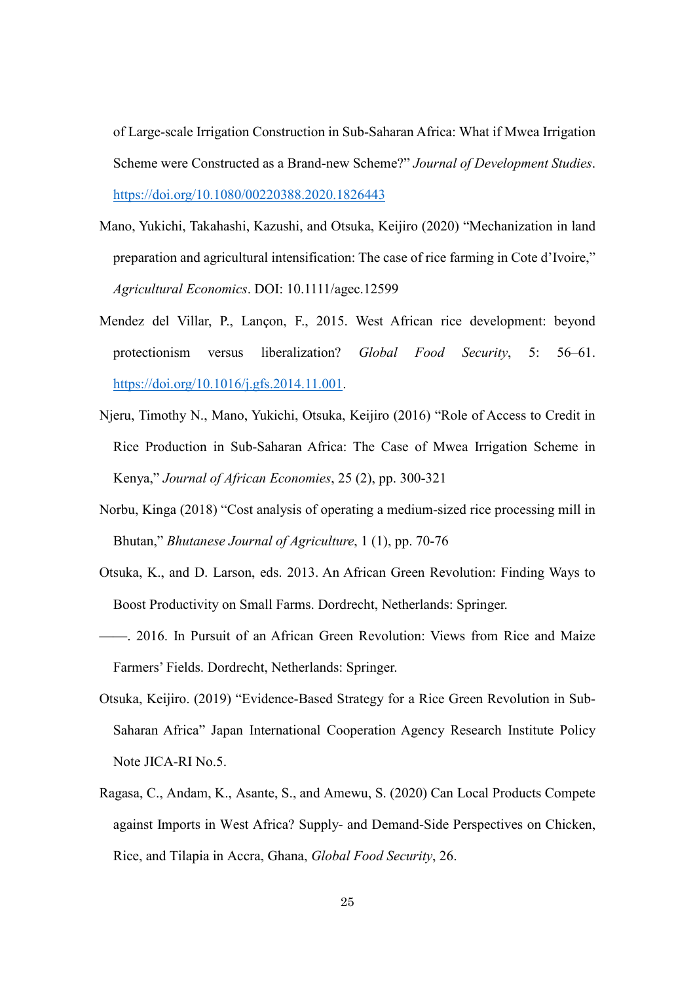of Large-scale Irrigation Construction in Sub-Saharan Africa: What if Mwea Irrigation Scheme were Constructed as a Brand-new Scheme?" *Journal of Development Studies*. <https://doi.org/10.1080/00220388.2020.1826443>

- Mano, Yukichi, Takahashi, Kazushi, and Otsuka, Keijiro (2020) "Mechanization in land preparation and agricultural intensification: The case of rice farming in Cote d'Ivoire," *Agricultural Economics*. DOI: 10.1111/agec.12599
- Mendez del Villar, P., Lançon, F., 2015. West African rice development: beyond protectionism versus liberalization? *Global Food Security*, 5: 56–61. [https://doi.org/10.1016/j.gfs.2014.11.001.](https://doi.org/10.1016/j.gfs.2014.11.001)
- Njeru, Timothy N., Mano, Yukichi, Otsuka, Keijiro (2016) "Role of Access to Credit in Rice Production in Sub-Saharan Africa: The Case of Mwea Irrigation Scheme in Kenya," *Journal of African Economies*, 25 (2), pp. 300-321
- Norbu, Kinga (2018) "Cost analysis of operating a medium-sized rice processing mill in Bhutan," *Bhutanese Journal of Agriculture*, 1 (1), pp. 70-76
- Otsuka, K., and D. Larson, eds. 2013. An African Green Revolution: Finding Ways to Boost Productivity on Small Farms. Dordrecht, Netherlands: Springer.
- ——. 2016. In Pursuit of an African Green Revolution: Views from Rice and Maize Farmers' Fields. Dordrecht, Netherlands: Springer.
- Otsuka, Keijiro. (2019) "Evidence-Based Strategy for a Rice Green Revolution in Sub-Saharan Africa" Japan International Cooperation Agency Research Institute Policy Note JICA-RI No.5.
- Ragasa, C., Andam, K., Asante, S., and Amewu, S. (2020) Can Local Products Compete against Imports in West Africa? Supply- and Demand-Side Perspectives on Chicken, Rice, and Tilapia in Accra, Ghana, *Global Food Security*, 26.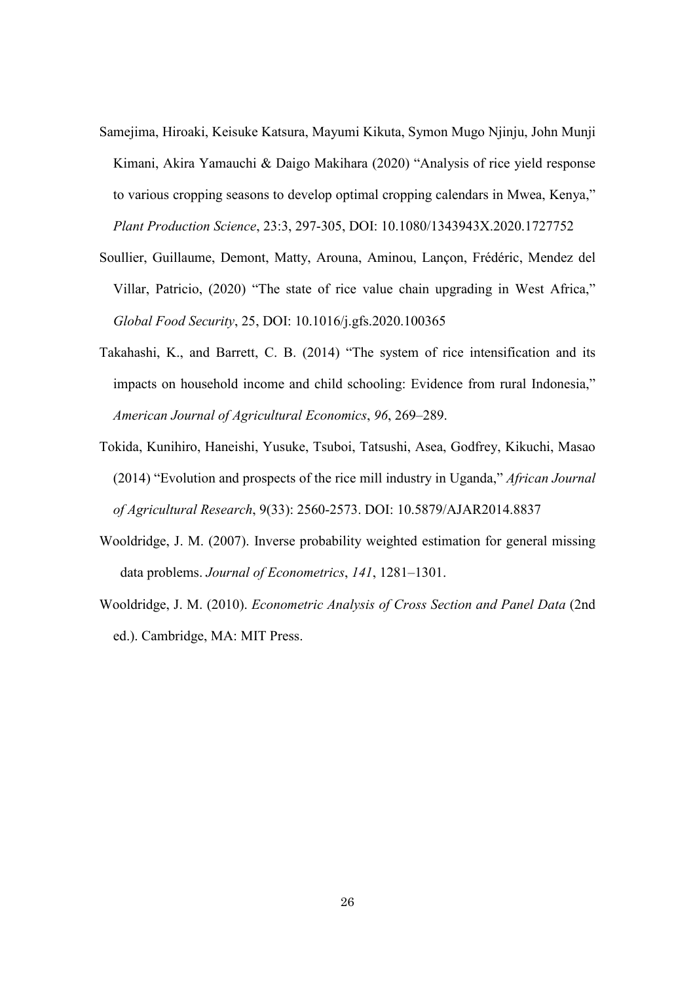- Samejima, Hiroaki, Keisuke Katsura, Mayumi Kikuta, Symon Mugo Njinju, John Munji Kimani, Akira Yamauchi & Daigo Makihara (2020) "Analysis of rice yield response to various cropping seasons to develop optimal cropping calendars in Mwea, Kenya," *Plant Production Science*, 23:3, 297-305, DOI: 10.1080/1343943X.2020.1727752
- Soullier, Guillaume, Demont, Matty, Arouna, Aminou, Lançon, Frédéric, Mendez del Villar, Patricio, (2020) "The state of rice value chain upgrading in West Africa," *Global Food Security*, 25, DOI: 10.1016/j.gfs.2020.100365
- Takahashi, K., and Barrett, C. B. (2014) "The system of rice intensification and its impacts on household income and child schooling: Evidence from rural Indonesia," *American Journal of Agricultural Economics*, *96*, 269–289.
- Tokida, Kunihiro, Haneishi, Yusuke, Tsuboi, Tatsushi, Asea, Godfrey, Kikuchi, Masao (2014) "Evolution and prospects of the rice mill industry in Uganda," *African Journal of Agricultural Research*, 9(33): 2560-2573. DOI: 10.5879/AJAR2014.8837
- Wooldridge, J. M. (2007). Inverse probability weighted estimation for general missing data problems. *Journal of Econometrics*, *141*, 1281–1301.
- Wooldridge, J. M. (2010). *Econometric Analysis of Cross Section and Panel Data* (2nd ed.). Cambridge, MA: MIT Press.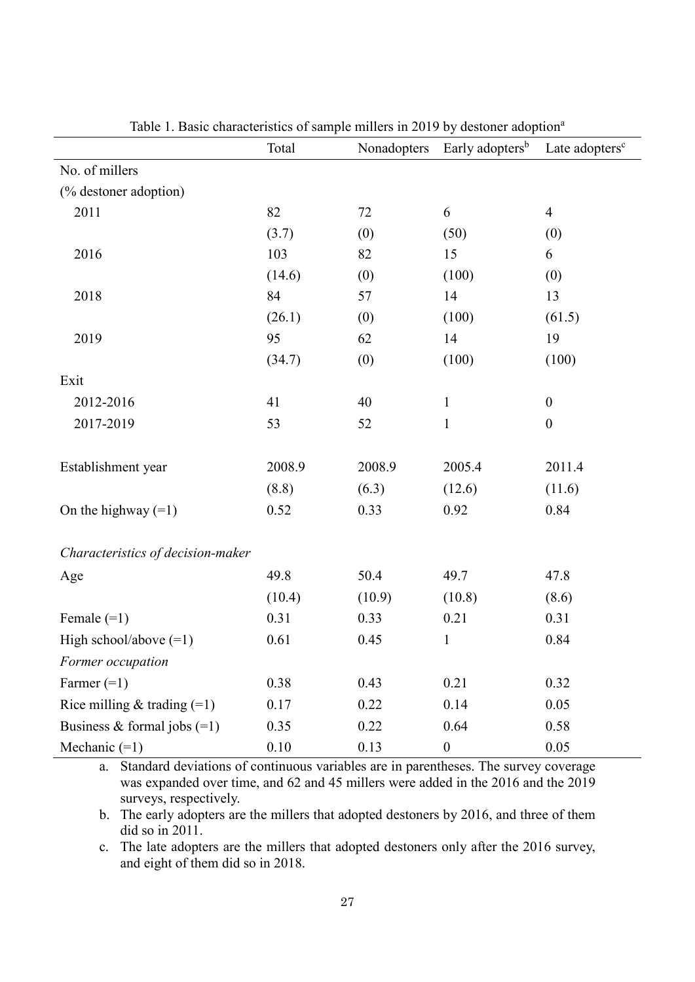|                                   | Total  | Nonadopters | Early adopters <sup>b</sup> | Late adopters <sup>c</sup> |
|-----------------------------------|--------|-------------|-----------------------------|----------------------------|
| No. of millers                    |        |             |                             |                            |
| (% destoner adoption)             |        |             |                             |                            |
| 2011                              | 82     | 72          | 6                           | $\overline{4}$             |
|                                   | (3.7)  | (0)         | (50)                        | (0)                        |
| 2016                              | 103    | 82          | 15                          | 6                          |
|                                   | (14.6) | (0)         | (100)                       | (0)                        |
| 2018                              | 84     | 57          | 14                          | 13                         |
|                                   | (26.1) | (0)         | (100)                       | (61.5)                     |
| 2019                              | 95     | 62          | 14                          | 19                         |
|                                   | (34.7) | (0)         | (100)                       | (100)                      |
| Exit                              |        |             |                             |                            |
| 2012-2016                         | 41     | 40          | $\mathbf 1$                 | $\boldsymbol{0}$           |
| 2017-2019                         | 53     | 52          | $\mathbf{1}$                | $\boldsymbol{0}$           |
|                                   |        |             |                             |                            |
| Establishment year                | 2008.9 | 2008.9      | 2005.4                      | 2011.4                     |
|                                   | (8.8)  | (6.3)       | (12.6)                      | (11.6)                     |
| On the highway $(=1)$             | 0.52   | 0.33        | 0.92                        | 0.84                       |
|                                   |        |             |                             |                            |
| Characteristics of decision-maker |        |             |                             |                            |
| Age                               | 49.8   | 50.4        | 49.7                        | 47.8                       |
|                                   | (10.4) | (10.9)      | (10.8)                      | (8.6)                      |
| Female $(=1)$                     | 0.31   | 0.33        | 0.21                        | 0.31                       |
| High school/above $(=1)$          | 0.61   | 0.45        | $\mathbf{1}$                | 0.84                       |
| Former occupation                 |        |             |                             |                            |
| Farmer $(=1)$                     | 0.38   | 0.43        | 0.21                        | 0.32                       |
| Rice milling & trading $(=1)$     | 0.17   | 0.22        | 0.14                        | 0.05                       |
| Business & formal jobs $(=1)$     | 0.35   | 0.22        | 0.64                        | 0.58                       |
| Mechanic $(=1)$                   | 0.10   | 0.13        | $\boldsymbol{0}$            | 0.05                       |

Table 1. Basic characteristics of sample millers in 2019 by destoner adoption<sup>a</sup>

a. Standard deviations of continuous variables are in parentheses. The survey coverage was expanded over time, and 62 and 45 millers were added in the 2016 and the 2019 surveys, respectively.

b. The early adopters are the millers that adopted destoners by 2016, and three of them did so in 2011.

c. The late adopters are the millers that adopted destoners only after the 2016 survey, and eight of them did so in 2018.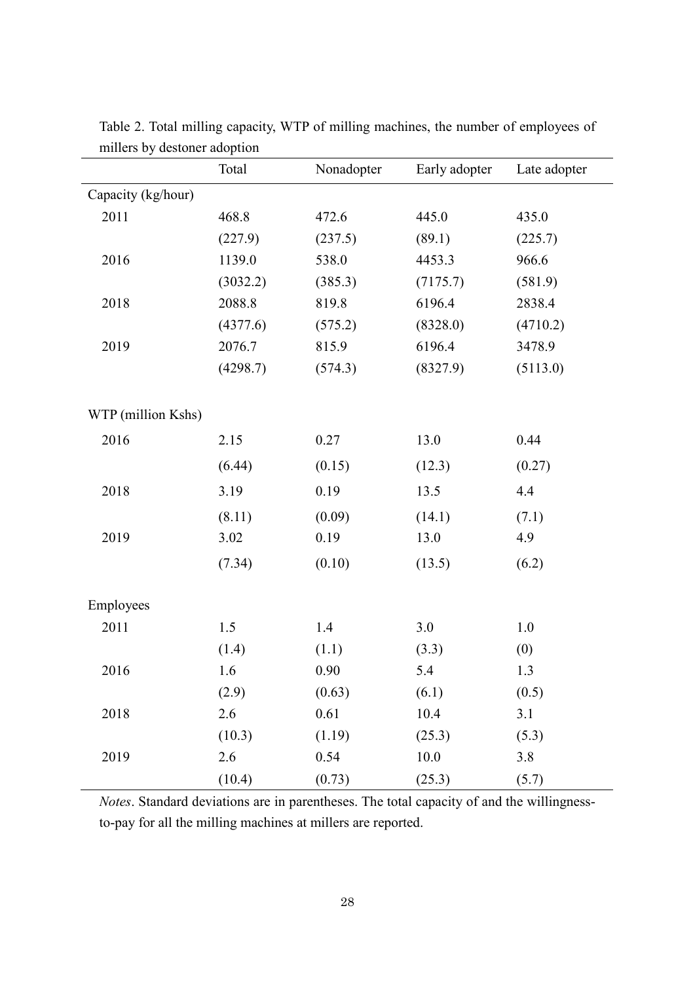|                    | Total    | Nonadopter | Early adopter | Late adopter |
|--------------------|----------|------------|---------------|--------------|
| Capacity (kg/hour) |          |            |               |              |
| 2011               | 468.8    | 472.6      | 445.0         | 435.0        |
|                    | (227.9)  | (237.5)    | (89.1)        | (225.7)      |
| 2016               | 1139.0   | 538.0      | 4453.3        | 966.6        |
|                    | (3032.2) | (385.3)    | (7175.7)      | (581.9)      |
| 2018               | 2088.8   | 819.8      | 6196.4        | 2838.4       |
|                    | (4377.6) | (575.2)    | (8328.0)      | (4710.2)     |
| 2019               | 2076.7   | 815.9      | 6196.4        | 3478.9       |
|                    | (4298.7) | (574.3)    | (8327.9)      | (5113.0)     |
|                    |          |            |               |              |
| WTP (million Kshs) |          |            |               |              |
| 2016               | 2.15     | 0.27       | 13.0          | 0.44         |
|                    | (6.44)   | (0.15)     | (12.3)        | (0.27)       |
| 2018               | 3.19     | 0.19       | 13.5          | 4.4          |
|                    | (8.11)   | (0.09)     | (14.1)        | (7.1)        |
| 2019               | 3.02     | 0.19       | 13.0          | 4.9          |
|                    | (7.34)   | (0.10)     | (13.5)        | (6.2)        |
|                    |          |            |               |              |
| Employees          |          |            |               |              |
| 2011               | 1.5      | 1.4        | 3.0           | $1.0\,$      |
|                    | (1.4)    | (1.1)      | (3.3)         | (0)          |
| 2016               | 1.6      | 0.90       | 5.4           | 1.3          |
|                    | (2.9)    | (0.63)     | (6.1)         | (0.5)        |
| 2018               | 2.6      | 0.61       | 10.4          | 3.1          |
|                    | (10.3)   | (1.19)     | (25.3)        | (5.3)        |
| 2019               | 2.6      | 0.54       | $10.0\,$      | 3.8          |
|                    | (10.4)   | (0.73)     | (25.3)        | (5.7)        |

Table 2. Total milling capacity, WTP of milling machines, the number of employees of millers by destoner adoption

*Notes*. Standard deviations are in parentheses. The total capacity of and the willingnessto-pay for all the milling machines at millers are reported.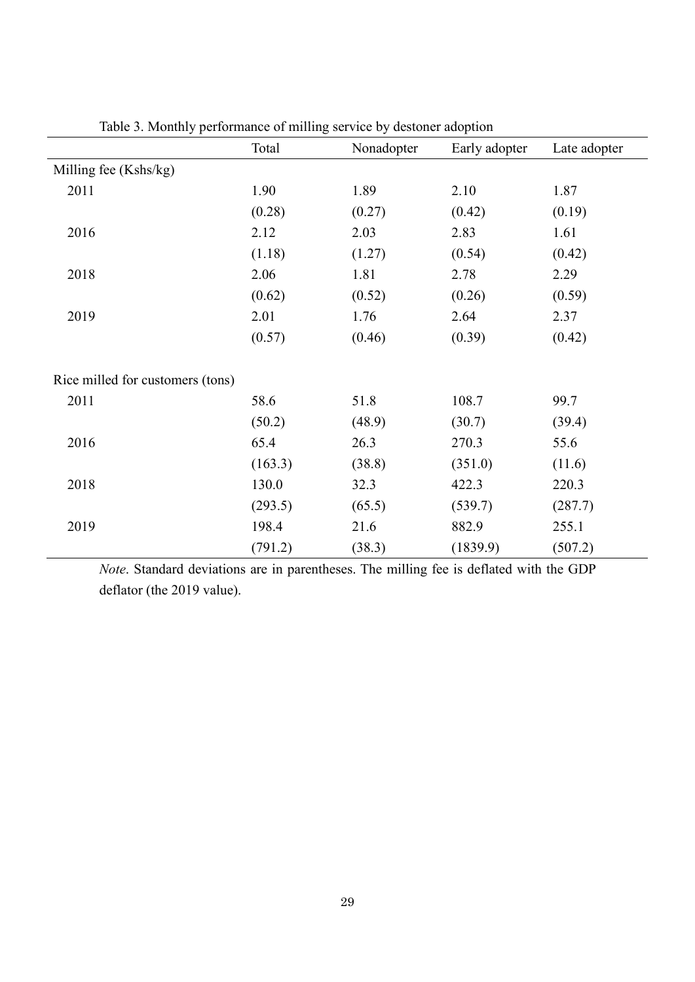| ⊥ י                              | O<br>Total | Nonadopter | Early adopter | Late adopter |
|----------------------------------|------------|------------|---------------|--------------|
| Milling fee (Kshs/kg)            |            |            |               |              |
| 2011                             | 1.90       | 1.89       | 2.10          | 1.87         |
|                                  | (0.28)     | (0.27)     | (0.42)        | (0.19)       |
| 2016                             | 2.12       | 2.03       | 2.83          | 1.61         |
|                                  | (1.18)     | (1.27)     | (0.54)        | (0.42)       |
| 2018                             | 2.06       | 1.81       | 2.78          | 2.29         |
|                                  | (0.62)     | (0.52)     | (0.26)        | (0.59)       |
| 2019                             | 2.01       | 1.76       | 2.64          | 2.37         |
|                                  | (0.57)     | (0.46)     | (0.39)        | (0.42)       |
| Rice milled for customers (tons) |            |            |               |              |
| 2011                             | 58.6       | 51.8       | 108.7         | 99.7         |
|                                  | (50.2)     | (48.9)     | (30.7)        | (39.4)       |
| 2016                             | 65.4       | 26.3       | 270.3         | 55.6         |
|                                  | (163.3)    | (38.8)     | (351.0)       | (11.6)       |
| 2018                             | 130.0      | 32.3       | 422.3         | 220.3        |
|                                  | (293.5)    | (65.5)     | (539.7)       | (287.7)      |
| 2019                             | 198.4      | 21.6       | 882.9         | 255.1        |
|                                  | (791.2)    | (38.3)     | (1839.9)      | (507.2)      |

Table 3. Monthly performance of milling service by destoner adoption

*Note*. Standard deviations are in parentheses. The milling fee is deflated with the GDP deflator (the 2019 value).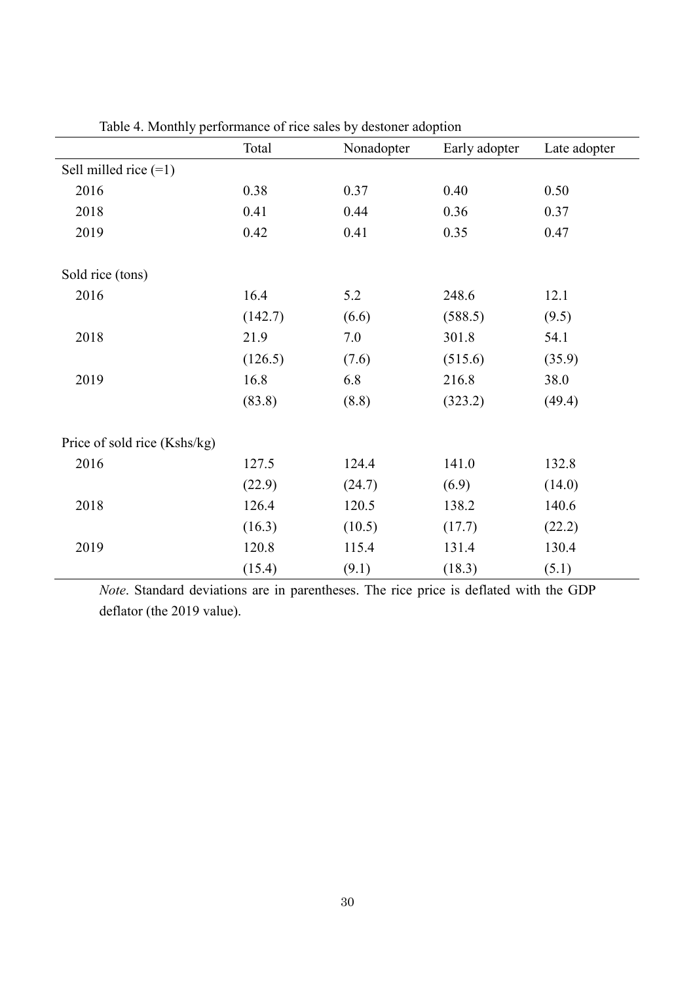| $\sim$ 1                     | Total   | Nonadopter | Early adopter | Late adopter |
|------------------------------|---------|------------|---------------|--------------|
| Sell milled rice $(=1)$      |         |            |               |              |
| 2016                         | 0.38    | 0.37       | 0.40          | 0.50         |
| 2018                         | 0.41    | 0.44       | 0.36          | 0.37         |
| 2019                         | 0.42    | 0.41       | 0.35          | 0.47         |
| Sold rice (tons)             |         |            |               |              |
| 2016                         | 16.4    | 5.2        | 248.6         | 12.1         |
|                              | (142.7) | (6.6)      | (588.5)       | (9.5)        |
| 2018                         | 21.9    | 7.0        | 301.8         | 54.1         |
|                              | (126.5) | (7.6)      | (515.6)       | (35.9)       |
| 2019                         | 16.8    | 6.8        | 216.8         | 38.0         |
|                              | (83.8)  | (8.8)      | (323.2)       | (49.4)       |
| Price of sold rice (Kshs/kg) |         |            |               |              |
| 2016                         | 127.5   | 124.4      | 141.0         | 132.8        |
|                              | (22.9)  | (24.7)     | (6.9)         | (14.0)       |
| 2018                         | 126.4   | 120.5      | 138.2         | 140.6        |
|                              | (16.3)  | (10.5)     | (17.7)        | (22.2)       |
| 2019                         | 120.8   | 115.4      | 131.4         | 130.4        |
|                              | (15.4)  | (9.1)      | (18.3)        | (5.1)        |

Table 4. Monthly performance of rice sales by destoner adoption

*Note*. Standard deviations are in parentheses. The rice price is deflated with the GDP deflator (the 2019 value).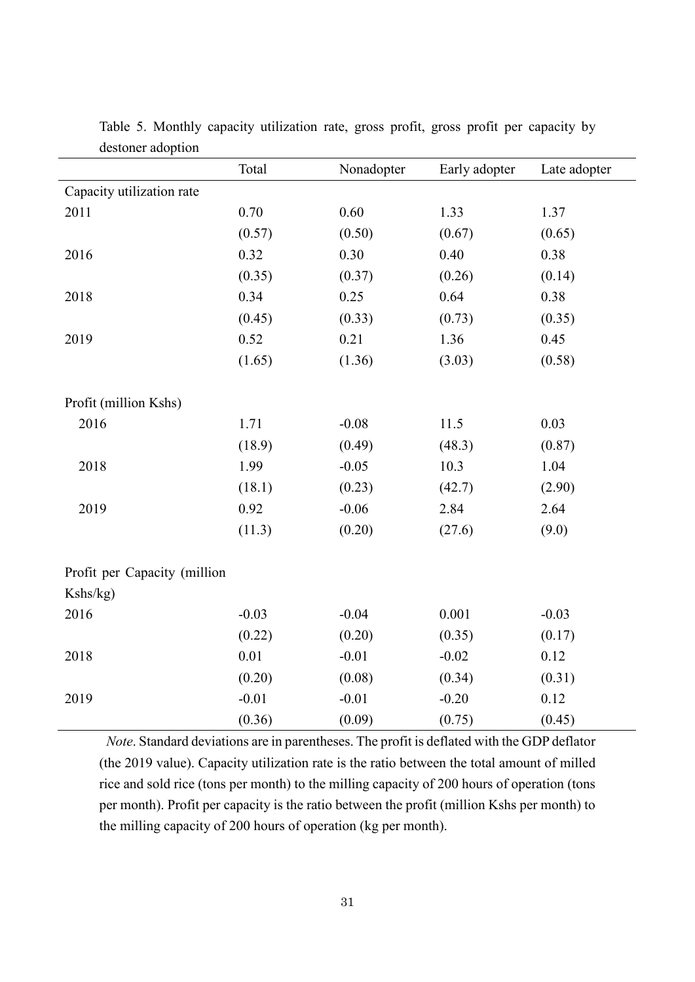|                              | Total    | Nonadopter | Early adopter | Late adopter |
|------------------------------|----------|------------|---------------|--------------|
| Capacity utilization rate    |          |            |               |              |
| 2011                         | $0.70\,$ | 0.60       | 1.33          | 1.37         |
|                              | (0.57)   | (0.50)     | (0.67)        | (0.65)       |
| 2016                         | 0.32     | 0.30       | 0.40          | 0.38         |
|                              | (0.35)   | (0.37)     | (0.26)        | (0.14)       |
| 2018                         | 0.34     | 0.25       | 0.64          | 0.38         |
|                              | (0.45)   | (0.33)     | (0.73)        | (0.35)       |
| 2019                         | 0.52     | 0.21       | 1.36          | 0.45         |
|                              | (1.65)   | (1.36)     | (3.03)        | (0.58)       |
|                              |          |            |               |              |
| Profit (million Kshs)        |          |            |               |              |
| 2016                         | 1.71     | $-0.08$    | 11.5          | 0.03         |
|                              | (18.9)   | (0.49)     | (48.3)        | (0.87)       |
| 2018                         | 1.99     | $-0.05$    | 10.3          | 1.04         |
|                              | (18.1)   | (0.23)     | (42.7)        | (2.90)       |
| 2019                         | 0.92     | $-0.06$    | 2.84          | 2.64         |
|                              | (11.3)   | (0.20)     | (27.6)        | (9.0)        |
|                              |          |            |               |              |
| Profit per Capacity (million |          |            |               |              |
| Kshs/kg)                     |          |            |               |              |
| 2016                         | $-0.03$  | $-0.04$    | 0.001         | $-0.03$      |
|                              | (0.22)   | (0.20)     | (0.35)        | (0.17)       |
| 2018                         | 0.01     | $-0.01$    | $-0.02$       | 0.12         |
|                              | (0.20)   | (0.08)     | (0.34)        | (0.31)       |
| 2019                         | $-0.01$  | $-0.01$    | $-0.20$       | 0.12         |
|                              | (0.36)   | (0.09)     | (0.75)        | (0.45)       |

Table 5. Monthly capacity utilization rate, gross profit, gross profit per capacity by destoner adoption

*Note*. Standard deviations are in parentheses. The profit is deflated with the GDP deflator (the 2019 value). Capacity utilization rate is the ratio between the total amount of milled rice and sold rice (tons per month) to the milling capacity of 200 hours of operation (tons per month). Profit per capacity is the ratio between the profit (million Kshs per month) to the milling capacity of 200 hours of operation (kg per month).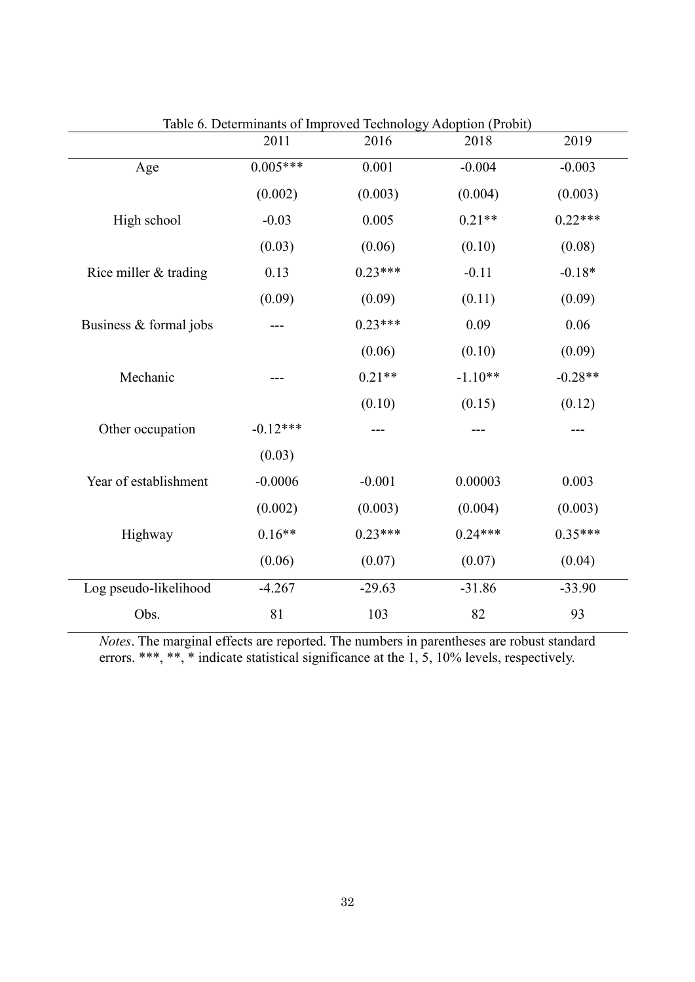|                        | 2011       | raoic o. Determinants or improved reemiology recoprion (1 room)<br>2016 | 2018      | 2019      |
|------------------------|------------|-------------------------------------------------------------------------|-----------|-----------|
| Age                    | $0.005***$ | 0.001                                                                   | $-0.004$  | $-0.003$  |
|                        | (0.002)    | (0.003)                                                                 | (0.004)   | (0.003)   |
| High school            | $-0.03$    | 0.005                                                                   | $0.21**$  | $0.22***$ |
|                        | (0.03)     | (0.06)                                                                  | (0.10)    | (0.08)    |
| Rice miller & trading  | 0.13       | $0.23***$                                                               | $-0.11$   | $-0.18*$  |
|                        | (0.09)     | (0.09)                                                                  | (0.11)    | (0.09)    |
| Business & formal jobs |            | $0.23***$                                                               | 0.09      | 0.06      |
|                        |            | (0.06)                                                                  | (0.10)    | (0.09)    |
| Mechanic               |            | $0.21**$                                                                | $-1.10**$ | $-0.28**$ |
|                        |            | (0.10)                                                                  | (0.15)    | (0.12)    |
| Other occupation       | $-0.12***$ |                                                                         |           |           |
|                        | (0.03)     |                                                                         |           |           |
| Year of establishment  | $-0.0006$  | $-0.001$                                                                | 0.00003   | 0.003     |
|                        | (0.002)    | (0.003)                                                                 | (0.004)   | (0.003)   |
| Highway                | $0.16**$   | $0.23***$                                                               | $0.24***$ | $0.35***$ |
|                        | (0.06)     | (0.07)                                                                  | (0.07)    | (0.04)    |
| Log pseudo-likelihood  | $-4.267$   | $-29.63$                                                                | $-31.86$  | $-33.90$  |
| Obs.                   | 81         | 103                                                                     | 82        | 93        |

Table 6. Determinants of Improved Technology Adoption (Probit)

*Notes*. The marginal effects are reported. The numbers in parentheses are robust standard errors. \*\*\*, \*\*, \* indicate statistical significance at the 1, 5, 10% levels, respectively.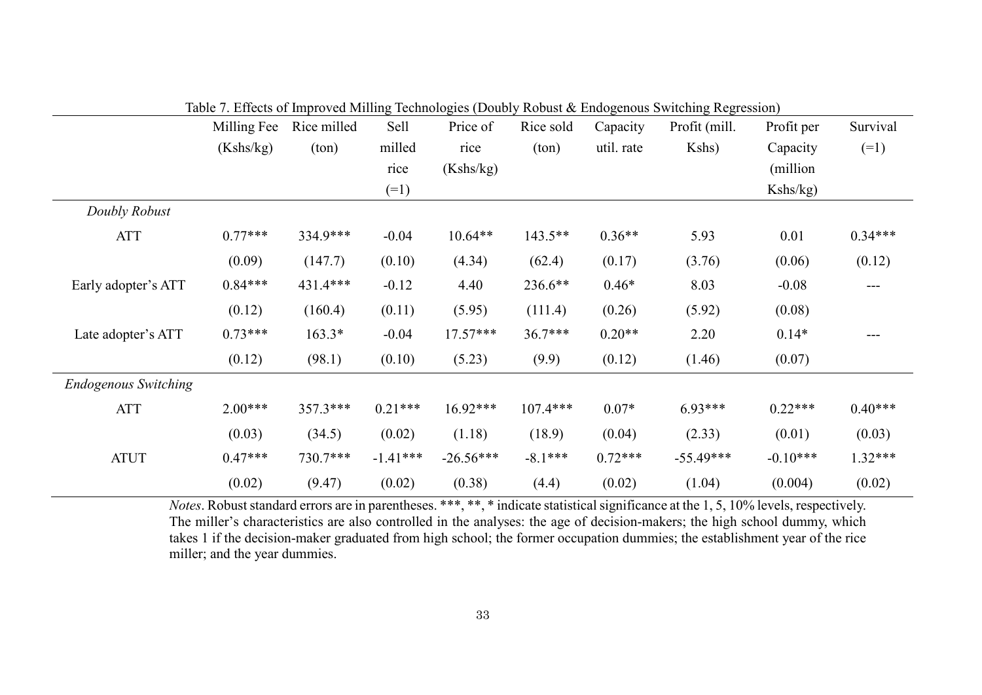|                             | Milling Fee | Rice milled | Sell       | Price of    | Rice sold  | Capacity   | Profit (mill. | Profit per | Survival  |
|-----------------------------|-------------|-------------|------------|-------------|------------|------------|---------------|------------|-----------|
|                             | (Kshs/kg)   | (ton)       | milled     | rice        | (ton)      | util. rate | Kshs)         | Capacity   | $(=1)$    |
|                             |             |             | rice       | (Kshs/kg)   |            |            |               | (million)  |           |
|                             |             |             | $(=1)$     |             |            |            |               | Kshs/kg)   |           |
| Doubly Robust               |             |             |            |             |            |            |               |            |           |
| <b>ATT</b>                  | $0.77***$   | 334.9***    | $-0.04$    | $10.64**$   | 143.5**    | $0.36**$   | 5.93          | 0.01       | $0.34***$ |
|                             | (0.09)      | (147.7)     | (0.10)     | (4.34)      | (62.4)     | (0.17)     | (3.76)        | (0.06)     | (0.12)    |
| Early adopter's ATT         | $0.84***$   | 431.4***    | $-0.12$    | 4.40        | 236.6**    | $0.46*$    | 8.03          | $-0.08$    | ---       |
|                             | (0.12)      | (160.4)     | (0.11)     | (5.95)      | (111.4)    | (0.26)     | (5.92)        | (0.08)     |           |
| Late adopter's ATT          | $0.73***$   | $163.3*$    | $-0.04$    | $17.57***$  | 36.7***    | $0.20**$   | 2.20          | $0.14*$    | ---       |
|                             | (0.12)      | (98.1)      | (0.10)     | (5.23)      | (9.9)      | (0.12)     | (1.46)        | (0.07)     |           |
| <b>Endogenous Switching</b> |             |             |            |             |            |            |               |            |           |
| <b>ATT</b>                  | $2.00***$   | 357.3***    | $0.21***$  | $16.92***$  | $107.4***$ | $0.07*$    | $6.93***$     | $0.22***$  | $0.40***$ |
|                             | (0.03)      | (34.5)      | (0.02)     | (1.18)      | (18.9)     | (0.04)     | (2.33)        | (0.01)     | (0.03)    |
| <b>ATUT</b>                 | $0.47***$   | 730.7***    | $-1.41***$ | $-26.56***$ | $-8.1***$  | $0.72***$  | $-55.49***$   | $-0.10***$ | 1.32***   |
|                             | (0.02)      | (9.47)      | (0.02)     | (0.38)      | (4.4)      | (0.02)     | (1.04)        | (0.004)    | (0.02)    |

Table 7. Effects of Improved Milling Technologies (Doubly Robust & Endogenous Switching Regression)

*Notes*. Robust standard errors are in parentheses. \*\*\*, \*\*, \* indicate statistical significance at the 1, 5, 10% levels, respectively. The miller's characteristics are also controlled in the analyses: the age of decision-makers; the high school dummy, which takes 1 if the decision-maker graduated from high school; the former occupation dummies; the establishment year of the rice miller; and the year dummies.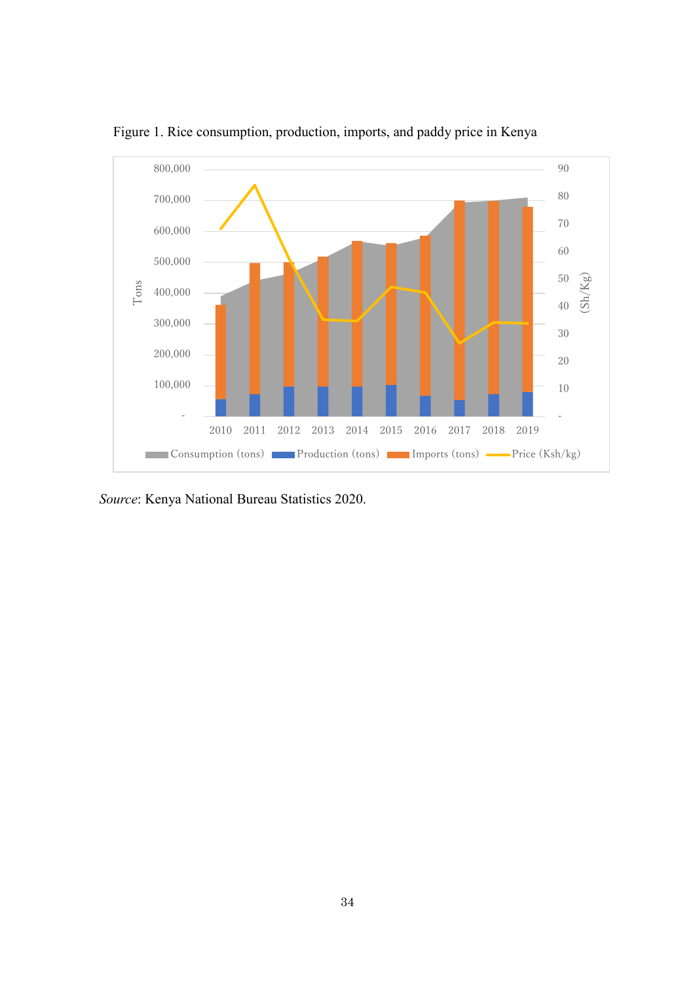

Figure 1. Rice consumption, production, imports, and paddy price in Kenya

*Source*: Kenya National Bureau Statistics 2020.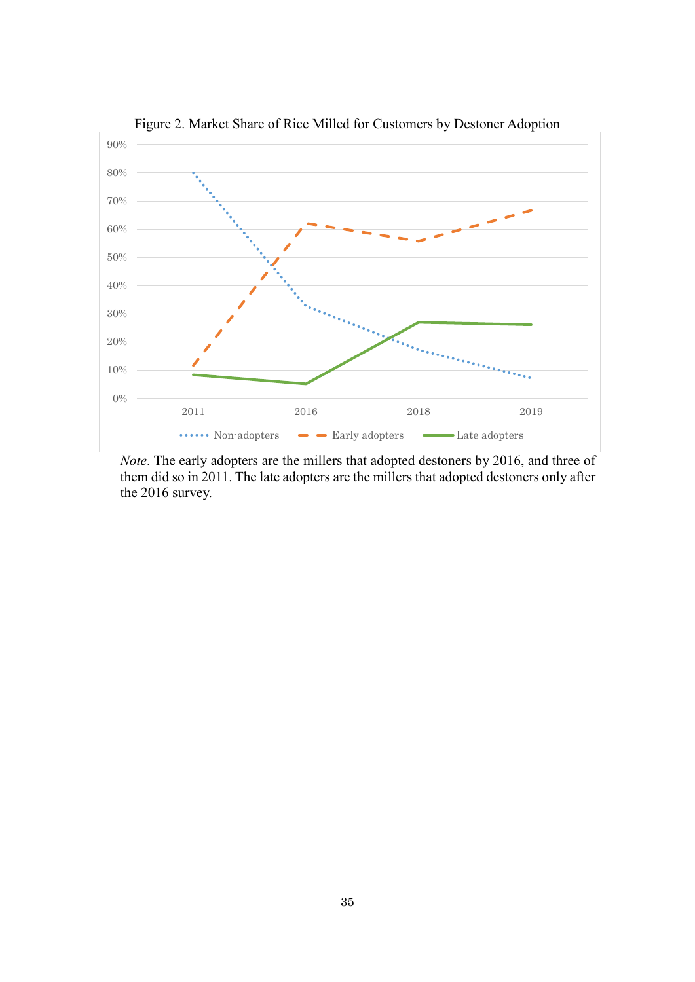

*Note*. The early adopters are the millers that adopted destoners by 2016, and three of them did so in 2011. The late adopters are the millers that adopted destoners only after the 2016 survey.